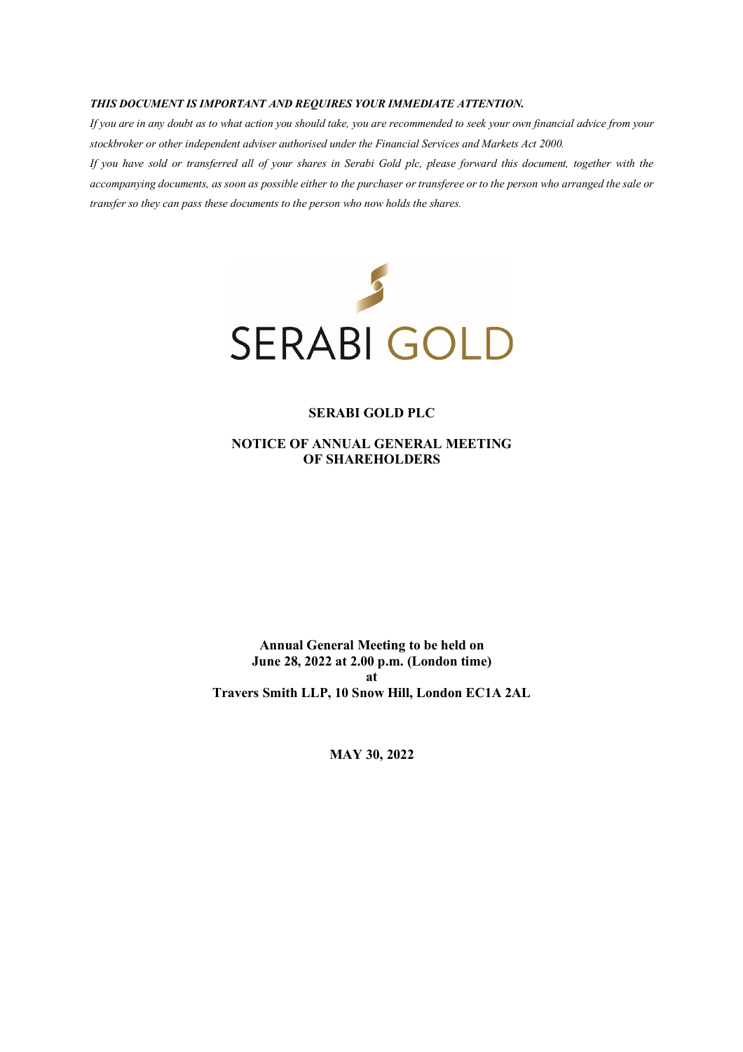#### *THIS DOCUMENT IS IMPORTANT AND REQUIRES YOUR IMMEDIATE ATTENTION.*

*If you are in any doubt as to what action you should take, you are recommended to seek your own financial advice from your stockbroker or other independent adviser authorised under the Financial Services and Markets Act 2000.* 

*If you have sold or transferred all of your shares in Serabi Gold plc, please forward this document, together with the accompanying documents, as soon as possible either to the purchaser or transferee or to the person who arranged the sale or transfer so they can pass these documents to the person who now holds the shares.* 



#### **SERABI GOLD PLC**

**NOTICE OF ANNUAL GENERAL MEETING OF SHAREHOLDERS** 

**Annual General Meeting to be held on June 28, 2022 at 2.00 p.m. (London time) at Travers Smith LLP, 10 Snow Hill, London EC1A 2AL** 

**MAY 30, 2022**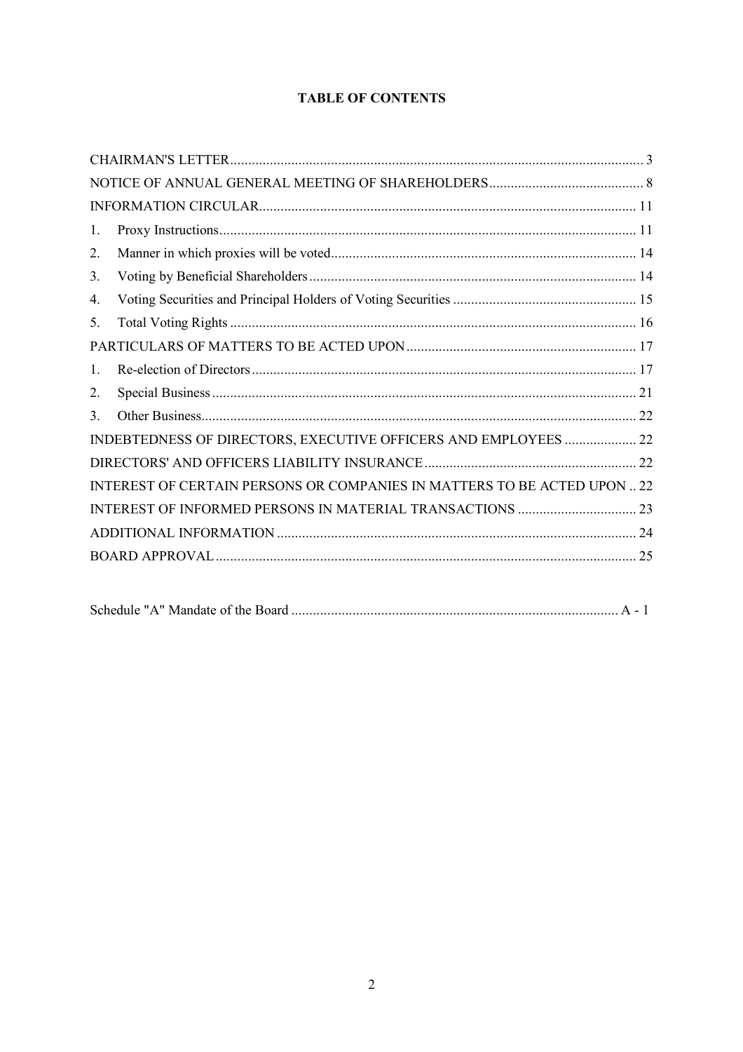# **TABLE OF CONTENTS**

| 1. |                                                                          |  |
|----|--------------------------------------------------------------------------|--|
| 2. |                                                                          |  |
| 3. |                                                                          |  |
| 4. |                                                                          |  |
| 5. |                                                                          |  |
|    |                                                                          |  |
| 1. |                                                                          |  |
| 2. |                                                                          |  |
| 3. |                                                                          |  |
|    | INDEBTEDNESS OF DIRECTORS, EXECUTIVE OFFICERS AND EMPLOYEES  22          |  |
|    |                                                                          |  |
|    | INTEREST OF CERTAIN PERSONS OR COMPANIES IN MATTERS TO BE ACTED UPON  22 |  |
|    | INTEREST OF INFORMED PERSONS IN MATERIAL TRANSACTIONS  23                |  |
|    |                                                                          |  |
|    |                                                                          |  |
|    |                                                                          |  |

|--|--|--|--|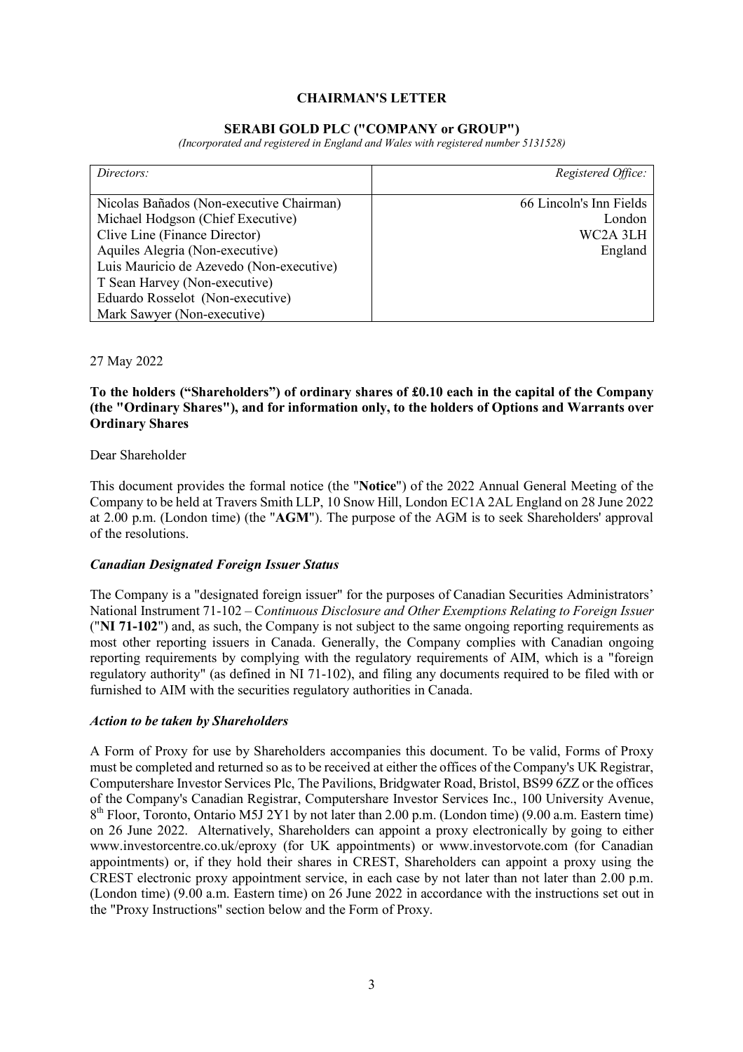# **CHAIRMAN'S LETTER**

#### **SERABI GOLD PLC ("COMPANY or GROUP")**

*(Incorporated and registered in England and Wales with registered number 5131528)* 

| Directors:                               | Registered Office:      |
|------------------------------------------|-------------------------|
|                                          |                         |
| Nicolas Bañados (Non-executive Chairman) | 66 Lincoln's Inn Fields |
| Michael Hodgson (Chief Executive)        | London                  |
| Clive Line (Finance Director)            | WC2A 3LH                |
| Aquiles Alegria (Non-executive)          | England                 |
| Luis Mauricio de Azevedo (Non-executive) |                         |
| T Sean Harvey (Non-executive)            |                         |
| Eduardo Rosselot (Non-executive)         |                         |
| Mark Sawyer (Non-executive)              |                         |

27 May 2022

# **To the holders ("Shareholders") of ordinary shares of £0.10 each in the capital of the Company (the "Ordinary Shares"), and for information only, to the holders of Options and Warrants over Ordinary Shares**

#### Dear Shareholder

This document provides the formal notice (the "**Notice**") of the 2022 Annual General Meeting of the Company to be held at Travers Smith LLP, 10 Snow Hill, London EC1A 2AL England on 28 June 2022 at 2.00 p.m. (London time) (the "**AGM**"). The purpose of the AGM is to seek Shareholders' approval of the resolutions.

#### *Canadian Designated Foreign Issuer Status*

The Company is a "designated foreign issuer" for the purposes of Canadian Securities Administrators' National Instrument 71-102 – C*ontinuous Disclosure and Other Exemptions Relating to Foreign Issuer* ("**NI 71-102**") and, as such, the Company is not subject to the same ongoing reporting requirements as most other reporting issuers in Canada. Generally, the Company complies with Canadian ongoing reporting requirements by complying with the regulatory requirements of AIM, which is a "foreign regulatory authority" (as defined in NI 71-102), and filing any documents required to be filed with or furnished to AIM with the securities regulatory authorities in Canada.

#### *Action to be taken by Shareholders*

A Form of Proxy for use by Shareholders accompanies this document. To be valid, Forms of Proxy must be completed and returned so as to be received at either the offices of the Company's UK Registrar, Computershare Investor Services Plc, The Pavilions, Bridgwater Road, Bristol, BS99 6ZZ or the offices of the Company's Canadian Registrar, Computershare Investor Services Inc., 100 University Avenue, 8<sup>th</sup> Floor, Toronto, Ontario M5J 2Y1 by not later than 2.00 p.m. (London time) (9.00 a.m. Eastern time) on 26 June 2022. Alternatively, Shareholders can appoint a proxy electronically by going to either www.investorcentre.co.uk/eproxy (for UK appointments) or www.investorvote.com (for Canadian appointments) or, if they hold their shares in CREST, Shareholders can appoint a proxy using the CREST electronic proxy appointment service, in each case by not later than not later than 2.00 p.m. (London time) (9.00 a.m. Eastern time) on 26 June 2022 in accordance with the instructions set out in the "Proxy Instructions" section below and the Form of Proxy.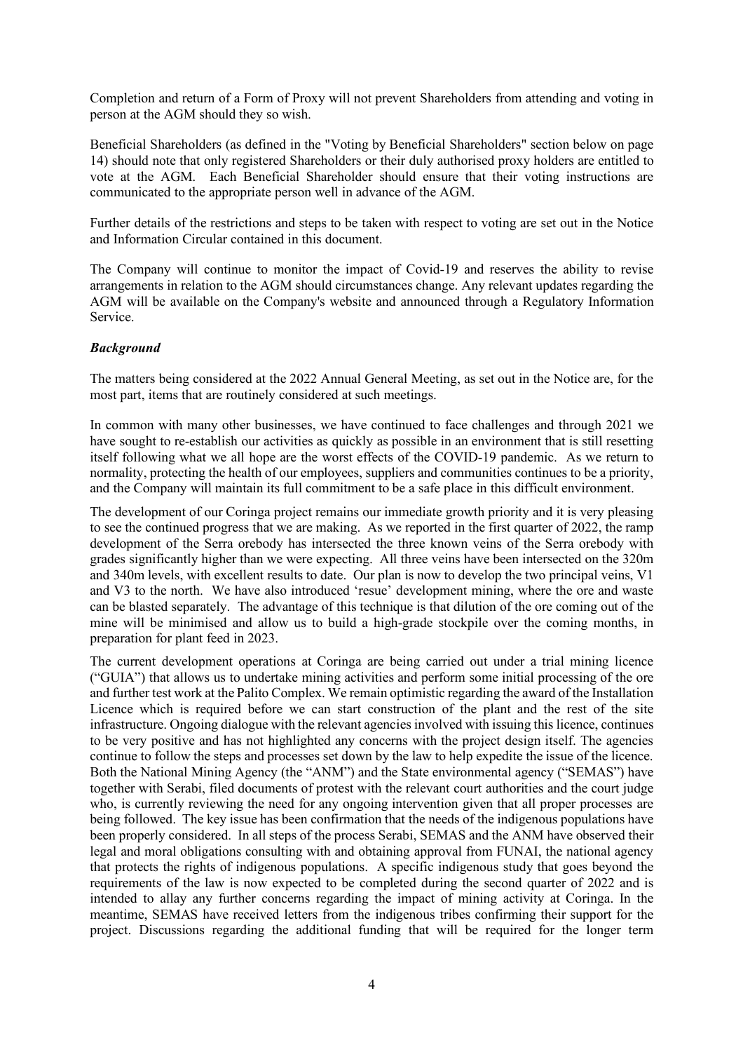Completion and return of a Form of Proxy will not prevent Shareholders from attending and voting in person at the AGM should they so wish.

Beneficial Shareholders (as defined in the "Voting by Beneficial Shareholders" section below on page 14) should note that only registered Shareholders or their duly authorised proxy holders are entitled to vote at the AGM. Each Beneficial Shareholder should ensure that their voting instructions are communicated to the appropriate person well in advance of the AGM.

Further details of the restrictions and steps to be taken with respect to voting are set out in the Notice and Information Circular contained in this document.

The Company will continue to monitor the impact of Covid-19 and reserves the ability to revise arrangements in relation to the AGM should circumstances change. Any relevant updates regarding the AGM will be available on the Company's website and announced through a Regulatory Information Service.

# *Background*

The matters being considered at the 2022 Annual General Meeting, as set out in the Notice are, for the most part, items that are routinely considered at such meetings.

In common with many other businesses, we have continued to face challenges and through 2021 we have sought to re-establish our activities as quickly as possible in an environment that is still resetting itself following what we all hope are the worst effects of the COVID-19 pandemic. As we return to normality, protecting the health of our employees, suppliers and communities continues to be a priority, and the Company will maintain its full commitment to be a safe place in this difficult environment.

The development of our Coringa project remains our immediate growth priority and it is very pleasing to see the continued progress that we are making. As we reported in the first quarter of 2022, the ramp development of the Serra orebody has intersected the three known veins of the Serra orebody with grades significantly higher than we were expecting. All three veins have been intersected on the 320m and 340m levels, with excellent results to date. Our plan is now to develop the two principal veins, V1 and V3 to the north. We have also introduced 'resue' development mining, where the ore and waste can be blasted separately. The advantage of this technique is that dilution of the ore coming out of the mine will be minimised and allow us to build a high-grade stockpile over the coming months, in preparation for plant feed in 2023.

The current development operations at Coringa are being carried out under a trial mining licence ("GUIA") that allows us to undertake mining activities and perform some initial processing of the ore and further test work at the Palito Complex. We remain optimistic regarding the award of the Installation Licence which is required before we can start construction of the plant and the rest of the site infrastructure. Ongoing dialogue with the relevant agencies involved with issuing this licence, continues to be very positive and has not highlighted any concerns with the project design itself. The agencies continue to follow the steps and processes set down by the law to help expedite the issue of the licence. Both the National Mining Agency (the "ANM") and the State environmental agency ("SEMAS") have together with Serabi, filed documents of protest with the relevant court authorities and the court judge who, is currently reviewing the need for any ongoing intervention given that all proper processes are being followed. The key issue has been confirmation that the needs of the indigenous populations have been properly considered. In all steps of the process Serabi, SEMAS and the ANM have observed their legal and moral obligations consulting with and obtaining approval from FUNAI, the national agency that protects the rights of indigenous populations. A specific indigenous study that goes beyond the requirements of the law is now expected to be completed during the second quarter of 2022 and is intended to allay any further concerns regarding the impact of mining activity at Coringa. In the meantime, SEMAS have received letters from the indigenous tribes confirming their support for the project. Discussions regarding the additional funding that will be required for the longer term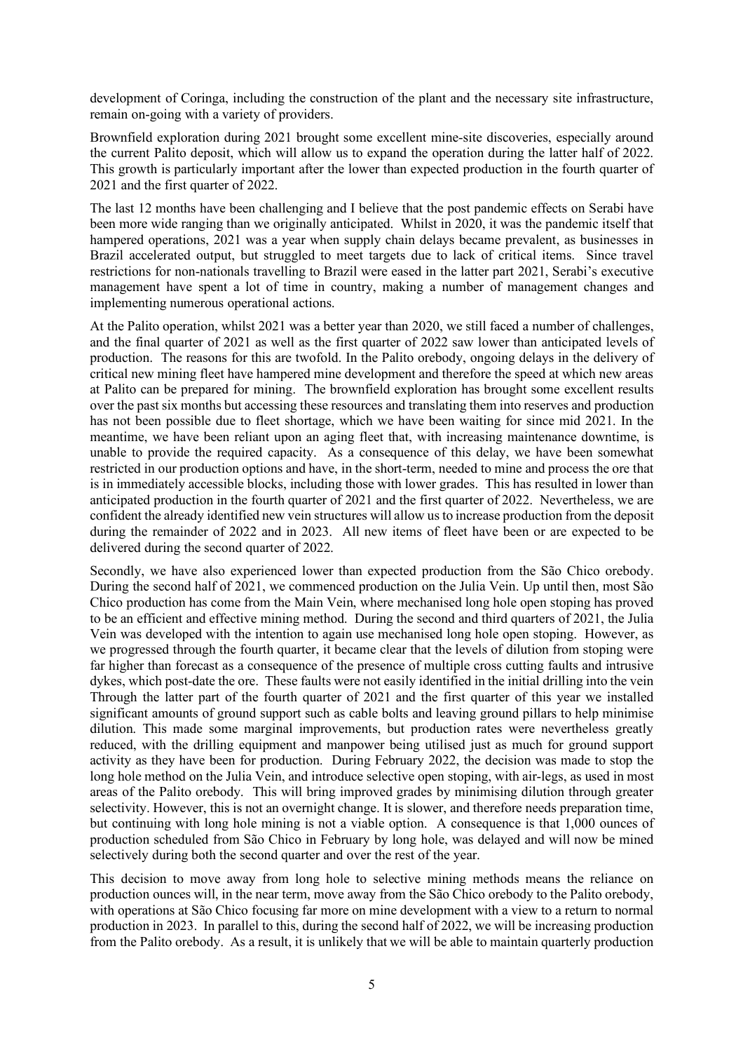development of Coringa, including the construction of the plant and the necessary site infrastructure, remain on-going with a variety of providers.

Brownfield exploration during 2021 brought some excellent mine-site discoveries, especially around the current Palito deposit, which will allow us to expand the operation during the latter half of 2022. This growth is particularly important after the lower than expected production in the fourth quarter of 2021 and the first quarter of 2022.

The last 12 months have been challenging and I believe that the post pandemic effects on Serabi have been more wide ranging than we originally anticipated. Whilst in 2020, it was the pandemic itself that hampered operations, 2021 was a year when supply chain delays became prevalent, as businesses in Brazil accelerated output, but struggled to meet targets due to lack of critical items. Since travel restrictions for non-nationals travelling to Brazil were eased in the latter part 2021, Serabi's executive management have spent a lot of time in country, making a number of management changes and implementing numerous operational actions.

At the Palito operation, whilst 2021 was a better year than 2020, we still faced a number of challenges, and the final quarter of 2021 as well as the first quarter of 2022 saw lower than anticipated levels of production. The reasons for this are twofold. In the Palito orebody, ongoing delays in the delivery of critical new mining fleet have hampered mine development and therefore the speed at which new areas at Palito can be prepared for mining. The brownfield exploration has brought some excellent results over the past six months but accessing these resources and translating them into reserves and production has not been possible due to fleet shortage, which we have been waiting for since mid 2021. In the meantime, we have been reliant upon an aging fleet that, with increasing maintenance downtime, is unable to provide the required capacity. As a consequence of this delay, we have been somewhat restricted in our production options and have, in the short-term, needed to mine and process the ore that is in immediately accessible blocks, including those with lower grades. This has resulted in lower than anticipated production in the fourth quarter of 2021 and the first quarter of 2022. Nevertheless, we are confident the already identified new vein structures will allow us to increase production from the deposit during the remainder of 2022 and in 2023. All new items of fleet have been or are expected to be delivered during the second quarter of 2022.

Secondly, we have also experienced lower than expected production from the São Chico orebody. During the second half of 2021, we commenced production on the Julia Vein. Up until then, most São Chico production has come from the Main Vein, where mechanised long hole open stoping has proved to be an efficient and effective mining method. During the second and third quarters of 2021, the Julia Vein was developed with the intention to again use mechanised long hole open stoping. However, as we progressed through the fourth quarter, it became clear that the levels of dilution from stoping were far higher than forecast as a consequence of the presence of multiple cross cutting faults and intrusive dykes, which post-date the ore. These faults were not easily identified in the initial drilling into the vein Through the latter part of the fourth quarter of 2021 and the first quarter of this year we installed significant amounts of ground support such as cable bolts and leaving ground pillars to help minimise dilution. This made some marginal improvements, but production rates were nevertheless greatly reduced, with the drilling equipment and manpower being utilised just as much for ground support activity as they have been for production. During February 2022, the decision was made to stop the long hole method on the Julia Vein, and introduce selective open stoping, with air-legs, as used in most areas of the Palito orebody. This will bring improved grades by minimising dilution through greater selectivity. However, this is not an overnight change. It is slower, and therefore needs preparation time, but continuing with long hole mining is not a viable option. A consequence is that 1,000 ounces of production scheduled from São Chico in February by long hole, was delayed and will now be mined selectively during both the second quarter and over the rest of the year.

This decision to move away from long hole to selective mining methods means the reliance on production ounces will, in the near term, move away from the São Chico orebody to the Palito orebody, with operations at São Chico focusing far more on mine development with a view to a return to normal production in 2023. In parallel to this, during the second half of 2022, we will be increasing production from the Palito orebody. As a result, it is unlikely that we will be able to maintain quarterly production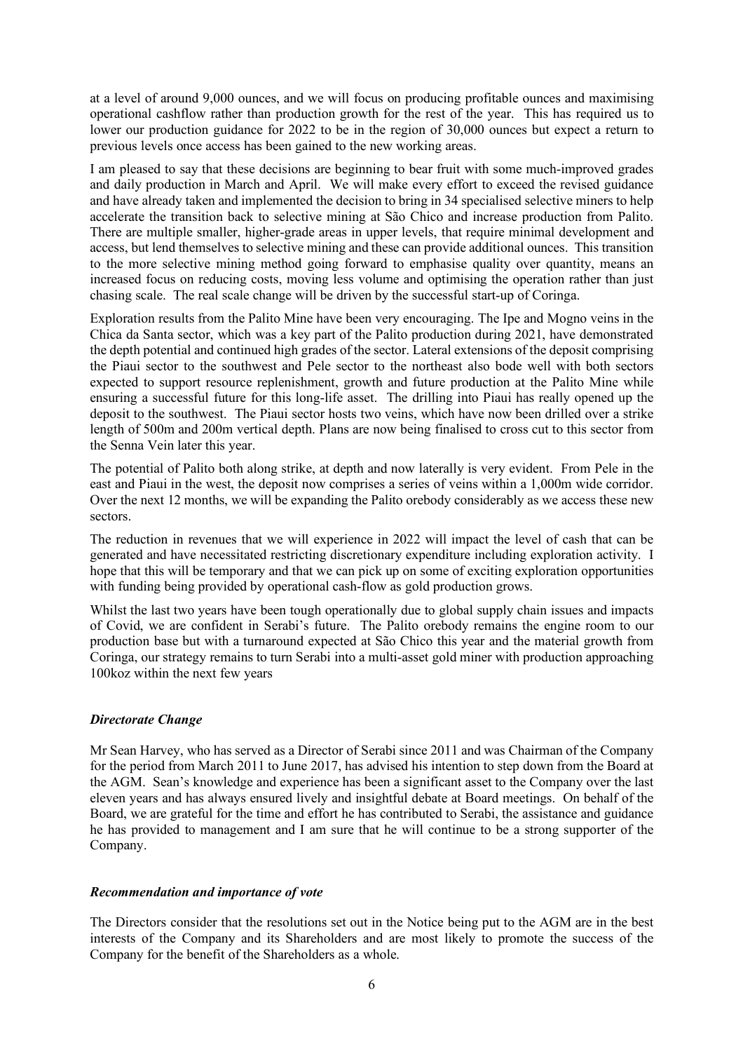at a level of around 9,000 ounces, and we will focus on producing profitable ounces and maximising operational cashflow rather than production growth for the rest of the year. This has required us to lower our production guidance for 2022 to be in the region of 30,000 ounces but expect a return to previous levels once access has been gained to the new working areas.

I am pleased to say that these decisions are beginning to bear fruit with some much-improved grades and daily production in March and April. We will make every effort to exceed the revised guidance and have already taken and implemented the decision to bring in 34 specialised selective miners to help accelerate the transition back to selective mining at São Chico and increase production from Palito. There are multiple smaller, higher-grade areas in upper levels, that require minimal development and access, but lend themselves to selective mining and these can provide additional ounces. This transition to the more selective mining method going forward to emphasise quality over quantity, means an increased focus on reducing costs, moving less volume and optimising the operation rather than just chasing scale. The real scale change will be driven by the successful start-up of Coringa.

Exploration results from the Palito Mine have been very encouraging. The Ipe and Mogno veins in the Chica da Santa sector, which was a key part of the Palito production during 2021, have demonstrated the depth potential and continued high grades of the sector. Lateral extensions of the deposit comprising the Piaui sector to the southwest and Pele sector to the northeast also bode well with both sectors expected to support resource replenishment, growth and future production at the Palito Mine while ensuring a successful future for this long-life asset. The drilling into Piaui has really opened up the deposit to the southwest. The Piaui sector hosts two veins, which have now been drilled over a strike length of 500m and 200m vertical depth. Plans are now being finalised to cross cut to this sector from the Senna Vein later this year.

The potential of Palito both along strike, at depth and now laterally is very evident. From Pele in the east and Piaui in the west, the deposit now comprises a series of veins within a 1,000m wide corridor. Over the next 12 months, we will be expanding the Palito orebody considerably as we access these new sectors.

The reduction in revenues that we will experience in 2022 will impact the level of cash that can be generated and have necessitated restricting discretionary expenditure including exploration activity. I hope that this will be temporary and that we can pick up on some of exciting exploration opportunities with funding being provided by operational cash-flow as gold production grows.

Whilst the last two years have been tough operationally due to global supply chain issues and impacts of Covid, we are confident in Serabi's future. The Palito orebody remains the engine room to our production base but with a turnaround expected at São Chico this year and the material growth from Coringa, our strategy remains to turn Serabi into a multi-asset gold miner with production approaching 100koz within the next few years

# *Directorate Change*

Mr Sean Harvey, who has served as a Director of Serabi since 2011 and was Chairman of the Company for the period from March 2011 to June 2017, has advised his intention to step down from the Board at the AGM. Sean's knowledge and experience has been a significant asset to the Company over the last eleven years and has always ensured lively and insightful debate at Board meetings. On behalf of the Board, we are grateful for the time and effort he has contributed to Serabi, the assistance and guidance he has provided to management and I am sure that he will continue to be a strong supporter of the Company.

### *Recommendation and importance of vote*

The Directors consider that the resolutions set out in the Notice being put to the AGM are in the best interests of the Company and its Shareholders and are most likely to promote the success of the Company for the benefit of the Shareholders as a whole.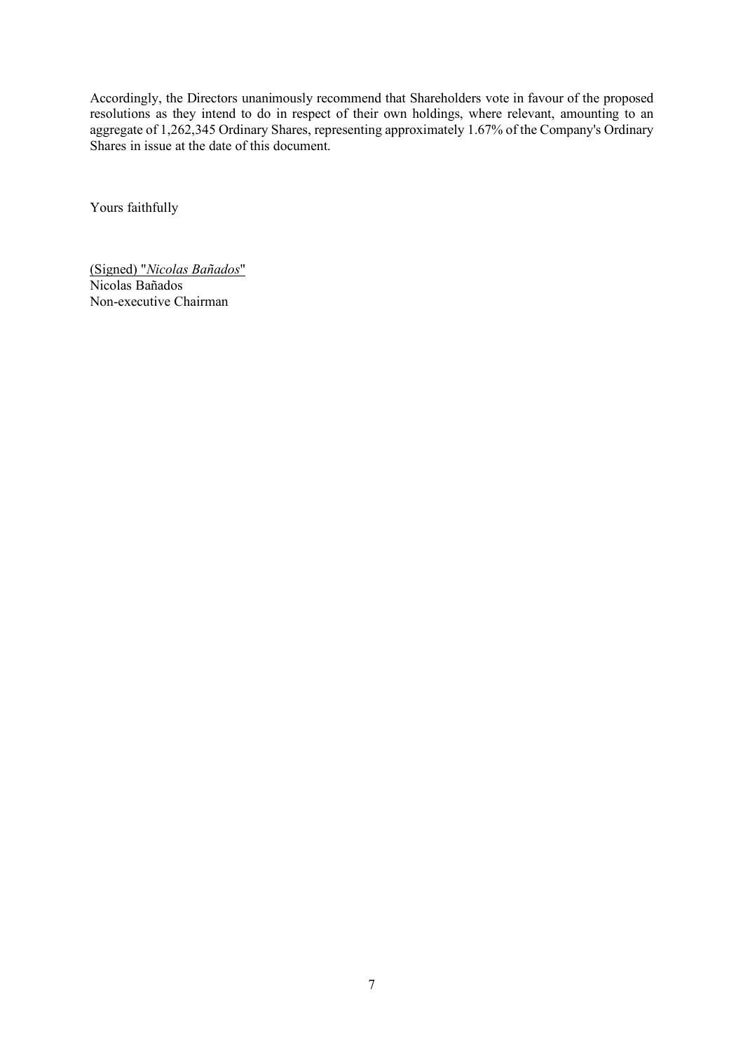Accordingly, the Directors unanimously recommend that Shareholders vote in favour of the proposed resolutions as they intend to do in respect of their own holdings, where relevant, amounting to an aggregate of 1,262,345 Ordinary Shares, representing approximately 1.67% of the Company's Ordinary Shares in issue at the date of this document.

Yours faithfully

(Signed) "*Nicolas Bañados*" Nicolas Bañados Non-executive Chairman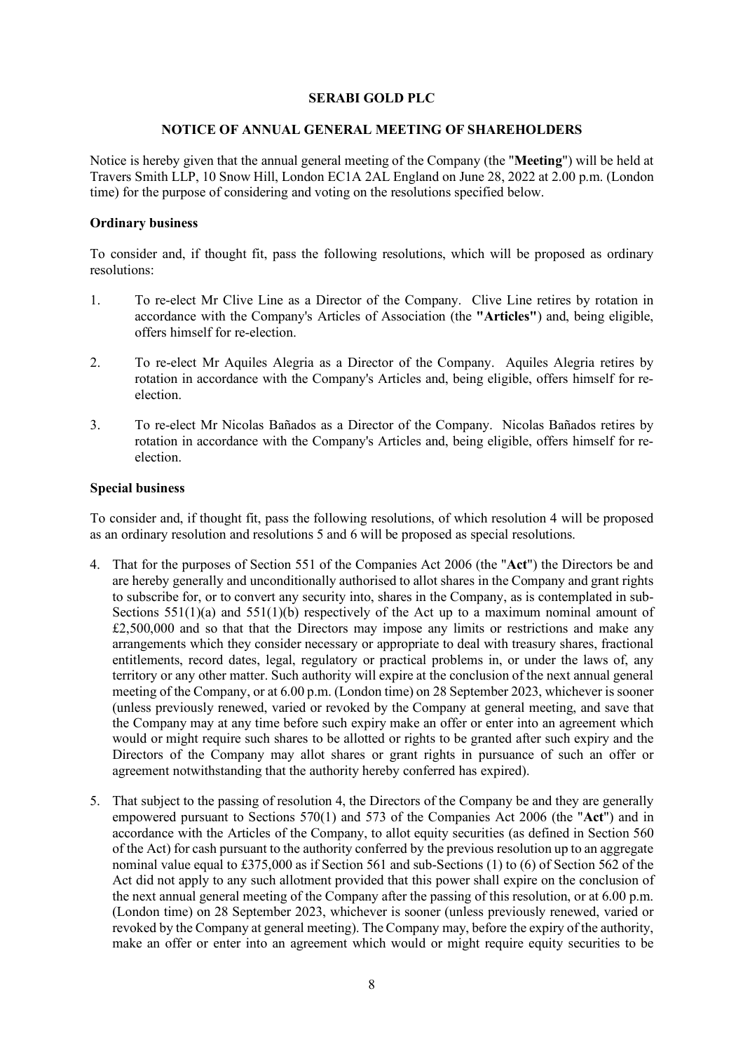#### **SERABI GOLD PLC**

#### **NOTICE OF ANNUAL GENERAL MEETING OF SHAREHOLDERS**

Notice is hereby given that the annual general meeting of the Company (the "**Meeting**") will be held at Travers Smith LLP, 10 Snow Hill, London EC1A 2AL England on June 28, 2022 at 2.00 p.m. (London time) for the purpose of considering and voting on the resolutions specified below.

#### **Ordinary business**

To consider and, if thought fit, pass the following resolutions, which will be proposed as ordinary resolutions:

- 1. To re-elect Mr Clive Line as a Director of the Company. Clive Line retires by rotation in accordance with the Company's Articles of Association (the **"Articles"**) and, being eligible, offers himself for re-election.
- 2. To re-elect Mr Aquiles Alegria as a Director of the Company. Aquiles Alegria retires by rotation in accordance with the Company's Articles and, being eligible, offers himself for reelection.
- 3. To re-elect Mr Nicolas Bañados as a Director of the Company. Nicolas Bañados retires by rotation in accordance with the Company's Articles and, being eligible, offers himself for reelection.

# **Special business**

To consider and, if thought fit, pass the following resolutions, of which resolution 4 will be proposed as an ordinary resolution and resolutions 5 and 6 will be proposed as special resolutions.

- 4. That for the purposes of Section 551 of the Companies Act 2006 (the "**Act**") the Directors be and are hereby generally and unconditionally authorised to allot shares in the Company and grant rights to subscribe for, or to convert any security into, shares in the Company, as is contemplated in sub-Sections  $551(1)(a)$  and  $551(1)(b)$  respectively of the Act up to a maximum nominal amount of  $£2,500,000$  and so that that the Directors may impose any limits or restrictions and make any arrangements which they consider necessary or appropriate to deal with treasury shares, fractional entitlements, record dates, legal, regulatory or practical problems in, or under the laws of, any territory or any other matter. Such authority will expire at the conclusion of the next annual general meeting of the Company, or at 6.00 p.m. (London time) on 28 September 2023, whichever is sooner (unless previously renewed, varied or revoked by the Company at general meeting, and save that the Company may at any time before such expiry make an offer or enter into an agreement which would or might require such shares to be allotted or rights to be granted after such expiry and the Directors of the Company may allot shares or grant rights in pursuance of such an offer or agreement notwithstanding that the authority hereby conferred has expired).
- 5. That subject to the passing of resolution 4, the Directors of the Company be and they are generally empowered pursuant to Sections 570(1) and 573 of the Companies Act 2006 (the "**Act**") and in accordance with the Articles of the Company, to allot equity securities (as defined in Section 560 of the Act) for cash pursuant to the authority conferred by the previous resolution up to an aggregate nominal value equal to £375,000 as if Section 561 and sub-Sections (1) to (6) of Section 562 of the Act did not apply to any such allotment provided that this power shall expire on the conclusion of the next annual general meeting of the Company after the passing of this resolution, or at 6.00 p.m. (London time) on 28 September 2023, whichever is sooner (unless previously renewed, varied or revoked by the Company at general meeting). The Company may, before the expiry of the authority, make an offer or enter into an agreement which would or might require equity securities to be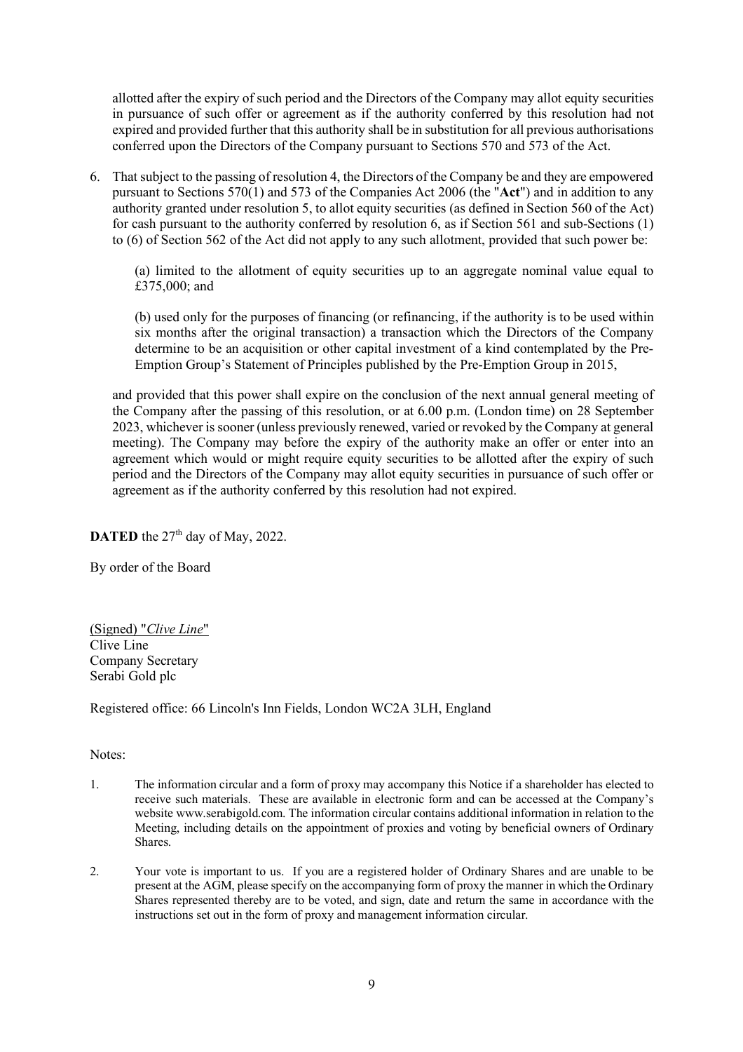allotted after the expiry of such period and the Directors of the Company may allot equity securities in pursuance of such offer or agreement as if the authority conferred by this resolution had not expired and provided further that this authority shall be in substitution for all previous authorisations conferred upon the Directors of the Company pursuant to Sections 570 and 573 of the Act.

6. That subject to the passing of resolution 4, the Directors of the Company be and they are empowered pursuant to Sections 570(1) and 573 of the Companies Act 2006 (the "**Act**") and in addition to any authority granted under resolution 5, to allot equity securities (as defined in Section 560 of the Act) for cash pursuant to the authority conferred by resolution 6, as if Section 561 and sub-Sections (1) to (6) of Section 562 of the Act did not apply to any such allotment, provided that such power be:

(a) limited to the allotment of equity securities up to an aggregate nominal value equal to £375,000; and

(b) used only for the purposes of financing (or refinancing, if the authority is to be used within six months after the original transaction) a transaction which the Directors of the Company determine to be an acquisition or other capital investment of a kind contemplated by the Pre-Emption Group's Statement of Principles published by the Pre-Emption Group in 2015,

and provided that this power shall expire on the conclusion of the next annual general meeting of the Company after the passing of this resolution, or at 6.00 p.m. (London time) on 28 September 2023, whichever is sooner (unless previously renewed, varied or revoked by the Company at general meeting). The Company may before the expiry of the authority make an offer or enter into an agreement which would or might require equity securities to be allotted after the expiry of such period and the Directors of the Company may allot equity securities in pursuance of such offer or agreement as if the authority conferred by this resolution had not expired.

**DATED** the  $27<sup>th</sup>$  day of May, 2022.

By order of the Board

(Signed) "*Clive Line*" Clive Line Company Secretary Serabi Gold plc

Registered office: 66 Lincoln's Inn Fields, London WC2A 3LH, England

### Notes:

- 1. The information circular and a form of proxy may accompany this Notice if a shareholder has elected to receive such materials. These are available in electronic form and can be accessed at the Company's website www.serabigold.com. The information circular contains additional information in relation to the Meeting, including details on the appointment of proxies and voting by beneficial owners of Ordinary Shares.
- 2. Your vote is important to us. If you are a registered holder of Ordinary Shares and are unable to be present at the AGM, please specify on the accompanying form of proxy the manner in which the Ordinary Shares represented thereby are to be voted, and sign, date and return the same in accordance with the instructions set out in the form of proxy and management information circular.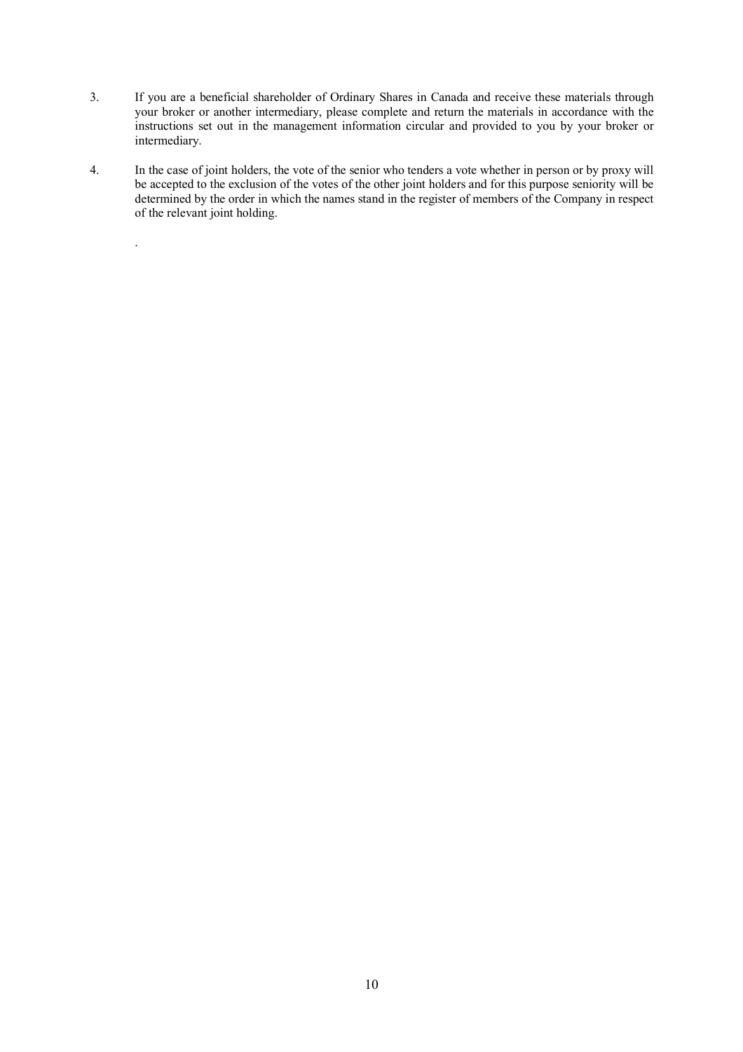- 3. If you are a beneficial shareholder of Ordinary Shares in Canada and receive these materials through your broker or another intermediary, please complete and return the materials in accordance with the instructions set out in the management information circular and provided to you by your broker or intermediary.
- 4. In the case of joint holders, the vote of the senior who tenders a vote whether in person or by proxy will be accepted to the exclusion of the votes of the other joint holders and for this purpose seniority will be determined by the order in which the names stand in the register of members of the Company in respect of the relevant joint holding.

.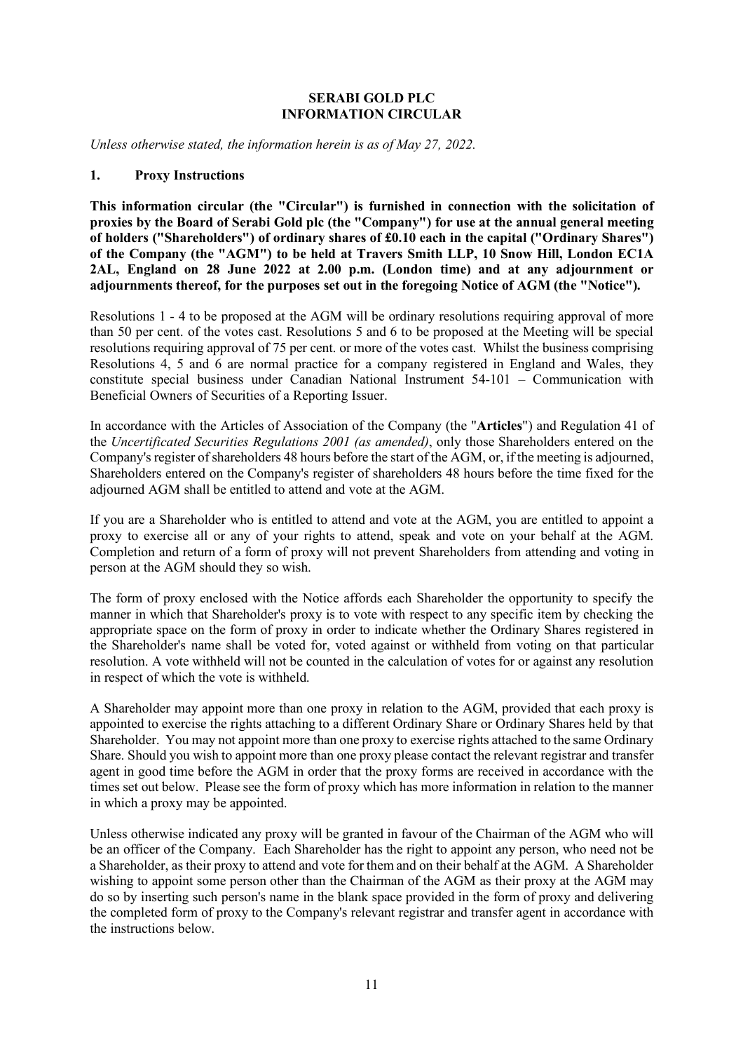# **SERABI GOLD PLC INFORMATION CIRCULAR**

*Unless otherwise stated, the information herein is as of May 27, 2022.* 

#### **1. Proxy Instructions**

**This information circular (the "Circular") is furnished in connection with the solicitation of proxies by the Board of Serabi Gold plc (the "Company") for use at the annual general meeting of holders ("Shareholders") of ordinary shares of £0.10 each in the capital ("Ordinary Shares") of the Company (the "AGM") to be held at Travers Smith LLP, 10 Snow Hill, London EC1A 2AL, England on 28 June 2022 at 2.00 p.m. (London time) and at any adjournment or adjournments thereof, for the purposes set out in the foregoing Notice of AGM (the "Notice").** 

Resolutions 1 - 4 to be proposed at the AGM will be ordinary resolutions requiring approval of more than 50 per cent. of the votes cast. Resolutions 5 and 6 to be proposed at the Meeting will be special resolutions requiring approval of 75 per cent. or more of the votes cast. Whilst the business comprising Resolutions 4, 5 and 6 are normal practice for a company registered in England and Wales, they constitute special business under Canadian National Instrument 54-101 – Communication with Beneficial Owners of Securities of a Reporting Issuer.

In accordance with the Articles of Association of the Company (the "**Articles**") and Regulation 41 of the *Uncertificated Securities Regulations 2001 (as amended)*, only those Shareholders entered on the Company's register of shareholders 48 hours before the start of the AGM, or, if the meeting is adjourned, Shareholders entered on the Company's register of shareholders 48 hours before the time fixed for the adjourned AGM shall be entitled to attend and vote at the AGM.

If you are a Shareholder who is entitled to attend and vote at the AGM, you are entitled to appoint a proxy to exercise all or any of your rights to attend, speak and vote on your behalf at the AGM. Completion and return of a form of proxy will not prevent Shareholders from attending and voting in person at the AGM should they so wish.

The form of proxy enclosed with the Notice affords each Shareholder the opportunity to specify the manner in which that Shareholder's proxy is to vote with respect to any specific item by checking the appropriate space on the form of proxy in order to indicate whether the Ordinary Shares registered in the Shareholder's name shall be voted for, voted against or withheld from voting on that particular resolution. A vote withheld will not be counted in the calculation of votes for or against any resolution in respect of which the vote is withheld.

A Shareholder may appoint more than one proxy in relation to the AGM, provided that each proxy is appointed to exercise the rights attaching to a different Ordinary Share or Ordinary Shares held by that Shareholder. You may not appoint more than one proxy to exercise rights attached to the same Ordinary Share. Should you wish to appoint more than one proxy please contact the relevant registrar and transfer agent in good time before the AGM in order that the proxy forms are received in accordance with the times set out below. Please see the form of proxy which has more information in relation to the manner in which a proxy may be appointed.

Unless otherwise indicated any proxy will be granted in favour of the Chairman of the AGM who will be an officer of the Company. Each Shareholder has the right to appoint any person, who need not be a Shareholder, as their proxy to attend and vote for them and on their behalf at the AGM. A Shareholder wishing to appoint some person other than the Chairman of the AGM as their proxy at the AGM may do so by inserting such person's name in the blank space provided in the form of proxy and delivering the completed form of proxy to the Company's relevant registrar and transfer agent in accordance with the instructions below.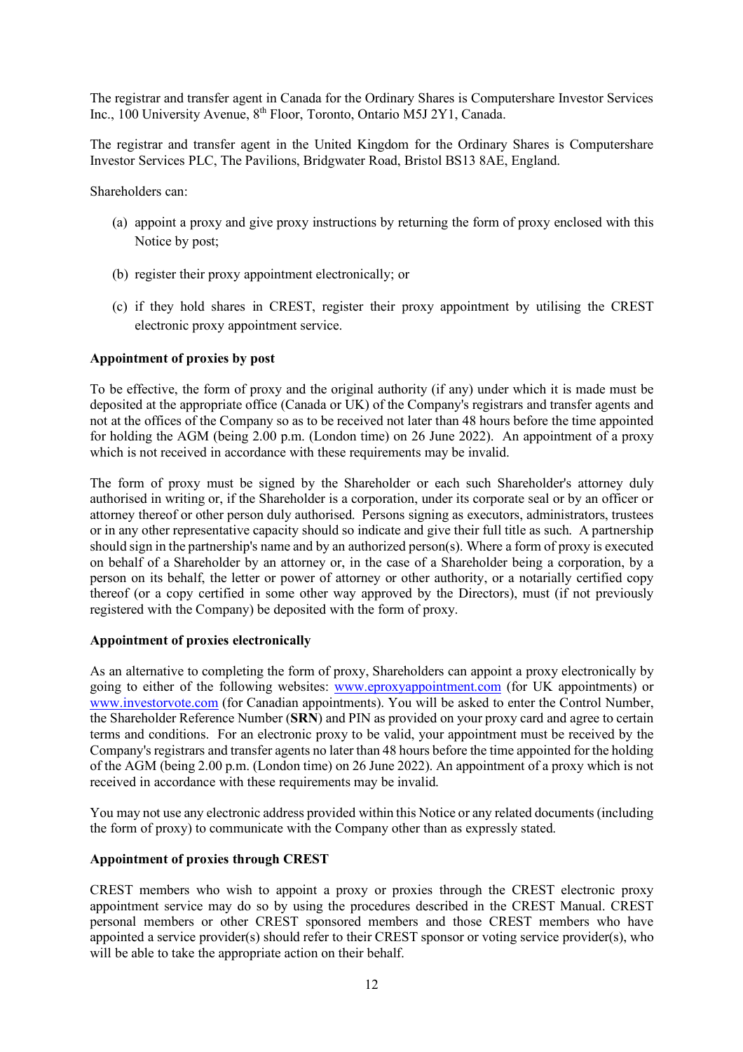The registrar and transfer agent in Canada for the Ordinary Shares is Computershare Investor Services Inc., 100 University Avenue, 8<sup>th</sup> Floor, Toronto, Ontario M5J 2Y1, Canada.

The registrar and transfer agent in the United Kingdom for the Ordinary Shares is Computershare Investor Services PLC, The Pavilions, Bridgwater Road, Bristol BS13 8AE, England.

Shareholders can:

- (a) appoint a proxy and give proxy instructions by returning the form of proxy enclosed with this Notice by post;
- (b) register their proxy appointment electronically; or
- (c) if they hold shares in CREST, register their proxy appointment by utilising the CREST electronic proxy appointment service.

### **Appointment of proxies by post**

To be effective, the form of proxy and the original authority (if any) under which it is made must be deposited at the appropriate office (Canada or UK) of the Company's registrars and transfer agents and not at the offices of the Company so as to be received not later than 48 hours before the time appointed for holding the AGM (being 2.00 p.m. (London time) on 26 June 2022). An appointment of a proxy which is not received in accordance with these requirements may be invalid.

The form of proxy must be signed by the Shareholder or each such Shareholder's attorney duly authorised in writing or, if the Shareholder is a corporation, under its corporate seal or by an officer or attorney thereof or other person duly authorised. Persons signing as executors, administrators, trustees or in any other representative capacity should so indicate and give their full title as such. A partnership should sign in the partnership's name and by an authorized person(s). Where a form of proxy is executed on behalf of a Shareholder by an attorney or, in the case of a Shareholder being a corporation, by a person on its behalf, the letter or power of attorney or other authority, or a notarially certified copy thereof (or a copy certified in some other way approved by the Directors), must (if not previously registered with the Company) be deposited with the form of proxy.

### **Appointment of proxies electronically**

As an alternative to completing the form of proxy, Shareholders can appoint a proxy electronically by going to either of the following websites: www.eproxyappointment.com (for UK appointments) or www.investorvote.com (for Canadian appointments). You will be asked to enter the Control Number, the Shareholder Reference Number (**SRN**) and PIN as provided on your proxy card and agree to certain terms and conditions. For an electronic proxy to be valid, your appointment must be received by the Company's registrars and transfer agents no later than 48 hours before the time appointed for the holding of the AGM (being 2.00 p.m. (London time) on 26 June 2022). An appointment of a proxy which is not received in accordance with these requirements may be invalid.

You may not use any electronic address provided within this Notice or any related documents (including the form of proxy) to communicate with the Company other than as expressly stated.

# **Appointment of proxies through CREST**

CREST members who wish to appoint a proxy or proxies through the CREST electronic proxy appointment service may do so by using the procedures described in the CREST Manual. CREST personal members or other CREST sponsored members and those CREST members who have appointed a service provider(s) should refer to their CREST sponsor or voting service provider(s), who will be able to take the appropriate action on their behalf.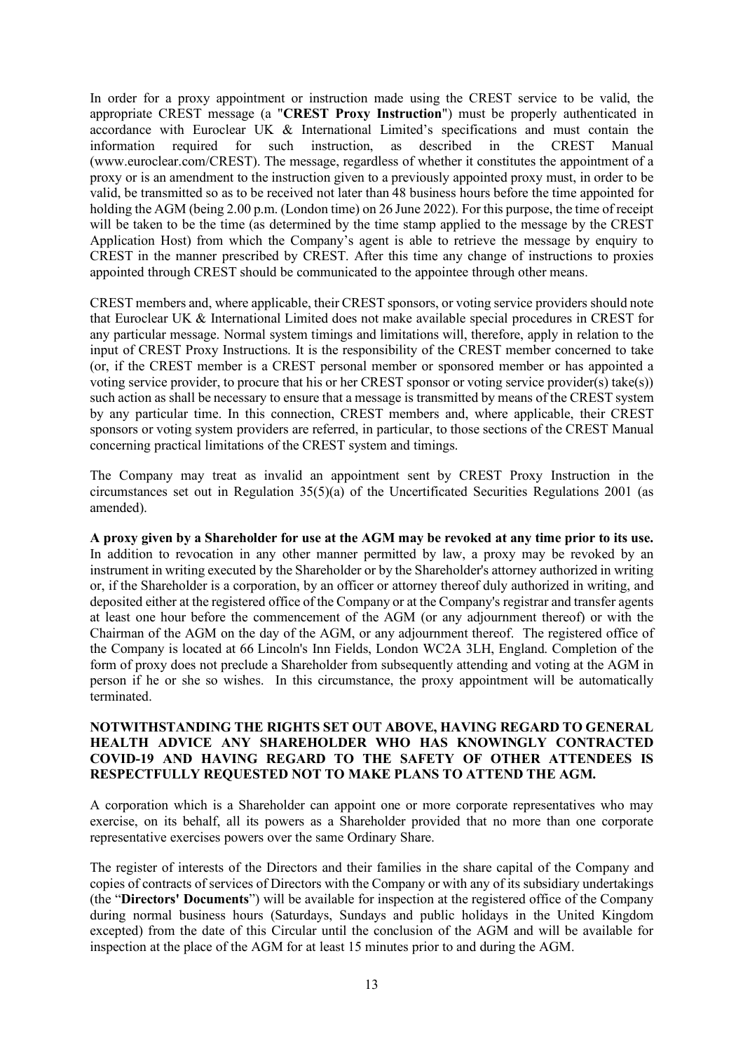In order for a proxy appointment or instruction made using the CREST service to be valid, the appropriate CREST message (a "**CREST Proxy Instruction**") must be properly authenticated in accordance with Euroclear UK & International Limited's specifications and must contain the information required for such instruction, as described in the CREST Manual (www.euroclear.com/CREST). The message, regardless of whether it constitutes the appointment of a proxy or is an amendment to the instruction given to a previously appointed proxy must, in order to be valid, be transmitted so as to be received not later than 48 business hours before the time appointed for holding the AGM (being 2.00 p.m. (London time) on 26 June 2022). For this purpose, the time of receipt will be taken to be the time (as determined by the time stamp applied to the message by the CREST Application Host) from which the Company's agent is able to retrieve the message by enquiry to CREST in the manner prescribed by CREST. After this time any change of instructions to proxies appointed through CREST should be communicated to the appointee through other means.

CREST members and, where applicable, their CREST sponsors, or voting service providers should note that Euroclear UK & International Limited does not make available special procedures in CREST for any particular message. Normal system timings and limitations will, therefore, apply in relation to the input of CREST Proxy Instructions. It is the responsibility of the CREST member concerned to take (or, if the CREST member is a CREST personal member or sponsored member or has appointed a voting service provider, to procure that his or her CREST sponsor or voting service provider(s) take(s)) such action as shall be necessary to ensure that a message is transmitted by means of the CREST system by any particular time. In this connection, CREST members and, where applicable, their CREST sponsors or voting system providers are referred, in particular, to those sections of the CREST Manual concerning practical limitations of the CREST system and timings.

The Company may treat as invalid an appointment sent by CREST Proxy Instruction in the circumstances set out in Regulation 35(5)(a) of the Uncertificated Securities Regulations 2001 (as amended).

**A proxy given by a Shareholder for use at the AGM may be revoked at any time prior to its use.** In addition to revocation in any other manner permitted by law, a proxy may be revoked by an instrument in writing executed by the Shareholder or by the Shareholder's attorney authorized in writing or, if the Shareholder is a corporation, by an officer or attorney thereof duly authorized in writing, and deposited either at the registered office of the Company or at the Company's registrar and transfer agents at least one hour before the commencement of the AGM (or any adjournment thereof) or with the Chairman of the AGM on the day of the AGM, or any adjournment thereof. The registered office of the Company is located at 66 Lincoln's Inn Fields, London WC2A 3LH, England. Completion of the form of proxy does not preclude a Shareholder from subsequently attending and voting at the AGM in person if he or she so wishes. In this circumstance, the proxy appointment will be automatically terminated.

# **NOTWITHSTANDING THE RIGHTS SET OUT ABOVE, HAVING REGARD TO GENERAL HEALTH ADVICE ANY SHAREHOLDER WHO HAS KNOWINGLY CONTRACTED COVID-19 AND HAVING REGARD TO THE SAFETY OF OTHER ATTENDEES IS RESPECTFULLY REQUESTED NOT TO MAKE PLANS TO ATTEND THE AGM.**

A corporation which is a Shareholder can appoint one or more corporate representatives who may exercise, on its behalf, all its powers as a Shareholder provided that no more than one corporate representative exercises powers over the same Ordinary Share.

The register of interests of the Directors and their families in the share capital of the Company and copies of contracts of services of Directors with the Company or with any of its subsidiary undertakings (the "**Directors' Documents**") will be available for inspection at the registered office of the Company during normal business hours (Saturdays, Sundays and public holidays in the United Kingdom excepted) from the date of this Circular until the conclusion of the AGM and will be available for inspection at the place of the AGM for at least 15 minutes prior to and during the AGM.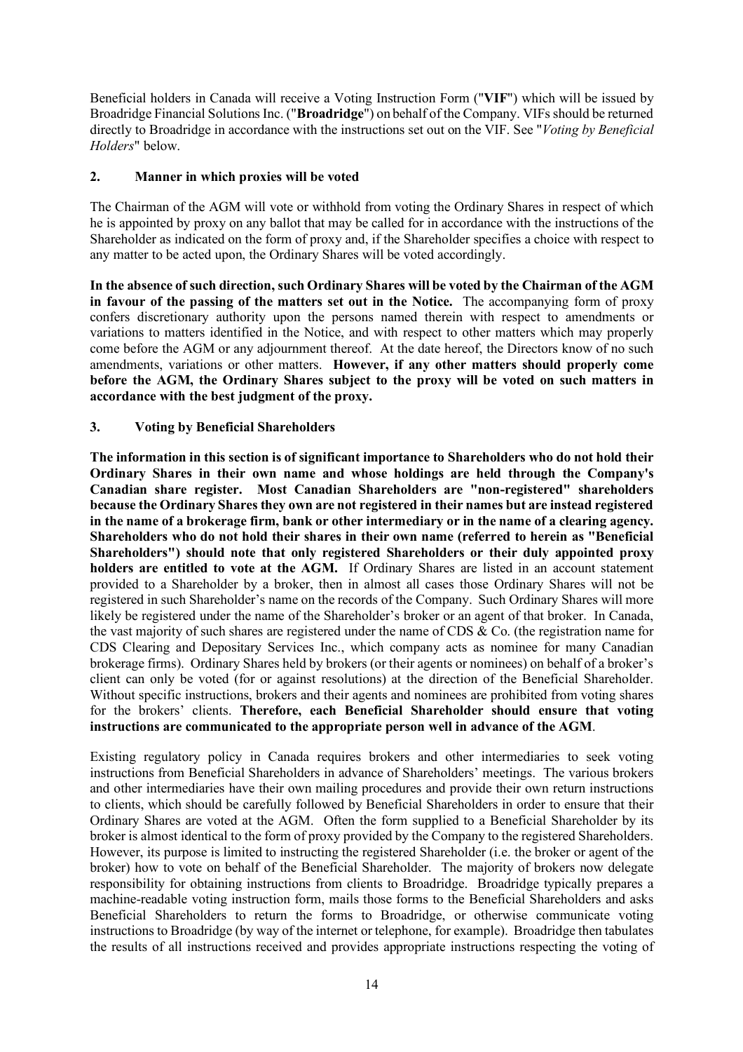Beneficial holders in Canada will receive a Voting Instruction Form ("**VIF**") which will be issued by Broadridge Financial Solutions Inc. ("**Broadridge**") on behalf of the Company. VIFs should be returned directly to Broadridge in accordance with the instructions set out on the VIF. See "*Voting by Beneficial Holders*" below.

# **2. Manner in which proxies will be voted**

The Chairman of the AGM will vote or withhold from voting the Ordinary Shares in respect of which he is appointed by proxy on any ballot that may be called for in accordance with the instructions of the Shareholder as indicated on the form of proxy and, if the Shareholder specifies a choice with respect to any matter to be acted upon, the Ordinary Shares will be voted accordingly.

**In the absence of such direction, such Ordinary Shares will be voted by the Chairman of the AGM in favour of the passing of the matters set out in the Notice.** The accompanying form of proxy confers discretionary authority upon the persons named therein with respect to amendments or variations to matters identified in the Notice, and with respect to other matters which may properly come before the AGM or any adjournment thereof. At the date hereof, the Directors know of no such amendments, variations or other matters. **However, if any other matters should properly come before the AGM, the Ordinary Shares subject to the proxy will be voted on such matters in accordance with the best judgment of the proxy.**

# **3. Voting by Beneficial Shareholders**

**The information in this section is of significant importance to Shareholders who do not hold their Ordinary Shares in their own name and whose holdings are held through the Company's Canadian share register. Most Canadian Shareholders are "non-registered" shareholders because the Ordinary Shares they own are not registered in their names but are instead registered in the name of a brokerage firm, bank or other intermediary or in the name of a clearing agency. Shareholders who do not hold their shares in their own name (referred to herein as "Beneficial Shareholders") should note that only registered Shareholders or their duly appointed proxy holders are entitled to vote at the AGM.** If Ordinary Shares are listed in an account statement provided to a Shareholder by a broker, then in almost all cases those Ordinary Shares will not be registered in such Shareholder's name on the records of the Company. Such Ordinary Shares will more likely be registered under the name of the Shareholder's broker or an agent of that broker. In Canada, the vast majority of such shares are registered under the name of CDS & Co. (the registration name for CDS Clearing and Depositary Services Inc., which company acts as nominee for many Canadian brokerage firms). Ordinary Shares held by brokers (or their agents or nominees) on behalf of a broker's client can only be voted (for or against resolutions) at the direction of the Beneficial Shareholder. Without specific instructions, brokers and their agents and nominees are prohibited from voting shares for the brokers' clients. **Therefore, each Beneficial Shareholder should ensure that voting instructions are communicated to the appropriate person well in advance of the AGM**.

Existing regulatory policy in Canada requires brokers and other intermediaries to seek voting instructions from Beneficial Shareholders in advance of Shareholders' meetings. The various brokers and other intermediaries have their own mailing procedures and provide their own return instructions to clients, which should be carefully followed by Beneficial Shareholders in order to ensure that their Ordinary Shares are voted at the AGM. Often the form supplied to a Beneficial Shareholder by its broker is almost identical to the form of proxy provided by the Company to the registered Shareholders. However, its purpose is limited to instructing the registered Shareholder (i.e. the broker or agent of the broker) how to vote on behalf of the Beneficial Shareholder. The majority of brokers now delegate responsibility for obtaining instructions from clients to Broadridge. Broadridge typically prepares a machine-readable voting instruction form, mails those forms to the Beneficial Shareholders and asks Beneficial Shareholders to return the forms to Broadridge, or otherwise communicate voting instructions to Broadridge (by way of the internet or telephone, for example). Broadridge then tabulates the results of all instructions received and provides appropriate instructions respecting the voting of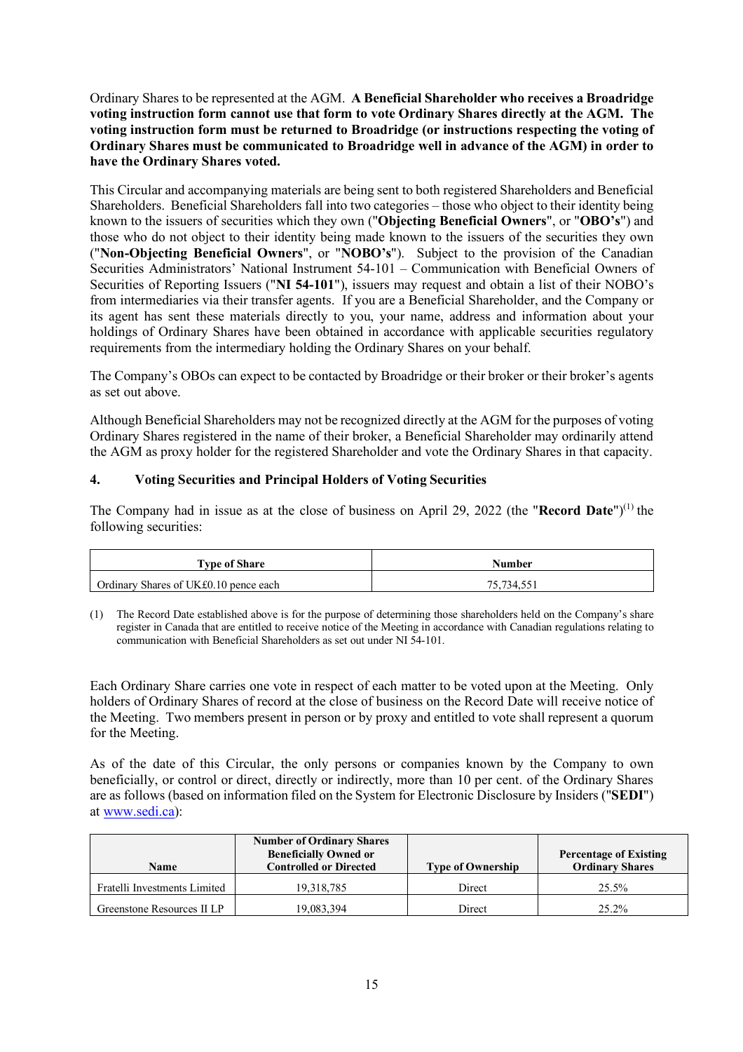Ordinary Shares to be represented at the AGM. **A Beneficial Shareholder who receives a Broadridge voting instruction form cannot use that form to vote Ordinary Shares directly at the AGM. The voting instruction form must be returned to Broadridge (or instructions respecting the voting of Ordinary Shares must be communicated to Broadridge well in advance of the AGM) in order to have the Ordinary Shares voted.**

This Circular and accompanying materials are being sent to both registered Shareholders and Beneficial Shareholders. Beneficial Shareholders fall into two categories – those who object to their identity being known to the issuers of securities which they own ("**Objecting Beneficial Owners**", or "**OBO's**") and those who do not object to their identity being made known to the issuers of the securities they own ("**Non-Objecting Beneficial Owners**", or "**NOBO's**"). Subject to the provision of the Canadian Securities Administrators' National Instrument 54-101 – Communication with Beneficial Owners of Securities of Reporting Issuers ("**NI 54-101**"), issuers may request and obtain a list of their NOBO's from intermediaries via their transfer agents. If you are a Beneficial Shareholder, and the Company or its agent has sent these materials directly to you, your name, address and information about your holdings of Ordinary Shares have been obtained in accordance with applicable securities regulatory requirements from the intermediary holding the Ordinary Shares on your behalf.

The Company's OBOs can expect to be contacted by Broadridge or their broker or their broker's agents as set out above.

Although Beneficial Shareholders may not be recognized directly at the AGM for the purposes of voting Ordinary Shares registered in the name of their broker, a Beneficial Shareholder may ordinarily attend the AGM as proxy holder for the registered Shareholder and vote the Ordinary Shares in that capacity.

# **4. Voting Securities and Principal Holders of Voting Securities**

The Company had in issue as at the close of business on April 29, 2022 (the "**Record Date**")<sup>(1)</sup> the following securities:

| <b>Type of Share</b>                  | Number     |  |  |
|---------------------------------------|------------|--|--|
| Ordinary Shares of UK£0.10 pence each | 75.734.551 |  |  |

(1) The Record Date established above is for the purpose of determining those shareholders held on the Company's share register in Canada that are entitled to receive notice of the Meeting in accordance with Canadian regulations relating to communication with Beneficial Shareholders as set out under NI 54-101.

Each Ordinary Share carries one vote in respect of each matter to be voted upon at the Meeting. Only holders of Ordinary Shares of record at the close of business on the Record Date will receive notice of the Meeting. Two members present in person or by proxy and entitled to vote shall represent a quorum for the Meeting.

As of the date of this Circular, the only persons or companies known by the Company to own beneficially, or control or direct, directly or indirectly, more than 10 per cent. of the Ordinary Shares are as follows (based on information filed on the System for Electronic Disclosure by Insiders ("**SEDI**") at www.sedi.ca):

| Name                         | <b>Number of Ordinary Shares</b><br><b>Beneficially Owned or</b><br><b>Controlled or Directed</b> | <b>Type of Ownership</b> | <b>Percentage of Existing</b><br><b>Ordinary Shares</b> |
|------------------------------|---------------------------------------------------------------------------------------------------|--------------------------|---------------------------------------------------------|
| Fratelli Investments Limited | 19.318.785                                                                                        | Direct                   | 25.5%                                                   |
| Greenstone Resources II LP   | 19,083,394                                                                                        | Direct                   | 25.2%                                                   |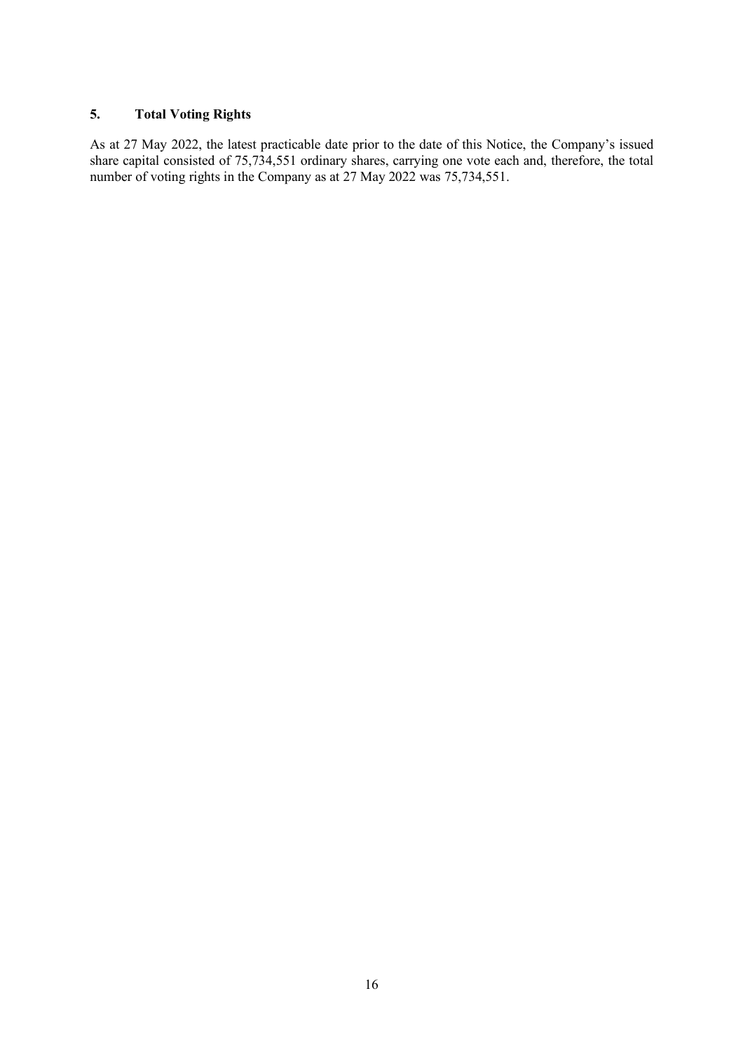# **5. Total Voting Rights**

As at 27 May 2022, the latest practicable date prior to the date of this Notice, the Company's issued share capital consisted of 75,734,551 ordinary shares, carrying one vote each and, therefore, the total number of voting rights in the Company as at 27 May 2022 was 75,734,551.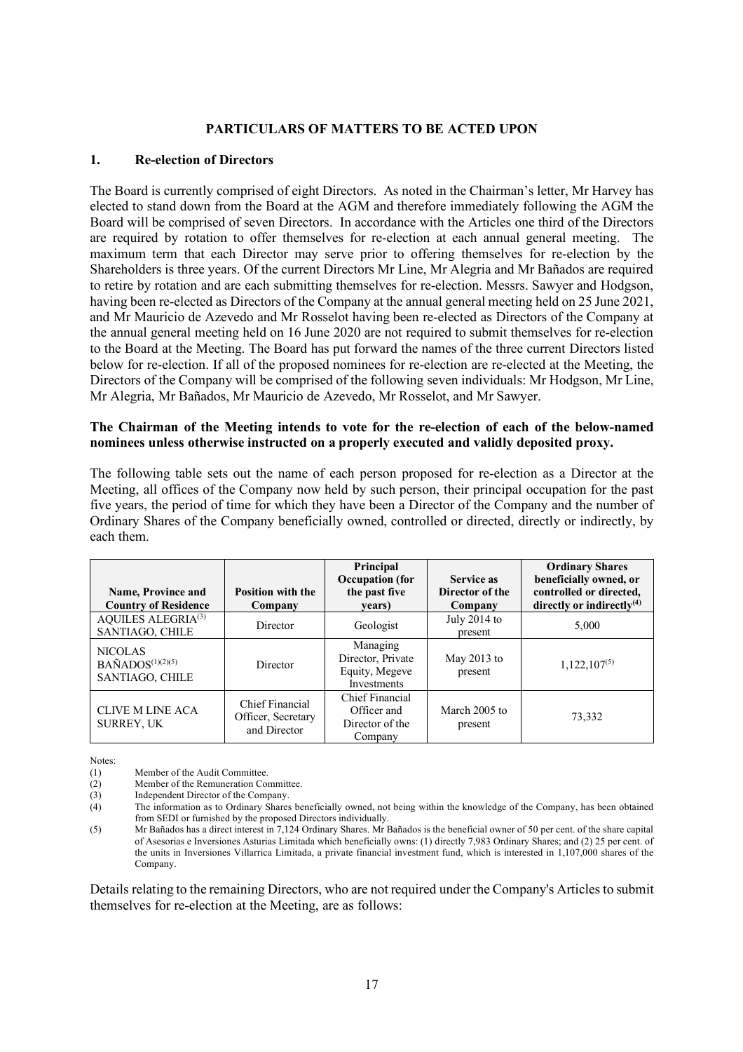# **PARTICULARS OF MATTERS TO BE ACTED UPON**

### **1. Re-election of Directors**

The Board is currently comprised of eight Directors. As noted in the Chairman's letter, Mr Harvey has elected to stand down from the Board at the AGM and therefore immediately following the AGM the Board will be comprised of seven Directors. In accordance with the Articles one third of the Directors are required by rotation to offer themselves for re-election at each annual general meeting. The maximum term that each Director may serve prior to offering themselves for re-election by the Shareholders is three years. Of the current Directors Mr Line, Mr Alegria and Mr Bañados are required to retire by rotation and are each submitting themselves for re-election. Messrs. Sawyer and Hodgson, having been re-elected as Directors of the Company at the annual general meeting held on 25 June 2021, and Mr Mauricio de Azevedo and Mr Rosselot having been re-elected as Directors of the Company at the annual general meeting held on 16 June 2020 are not required to submit themselves for re-election to the Board at the Meeting. The Board has put forward the names of the three current Directors listed below for re-election. If all of the proposed nominees for re-election are re-elected at the Meeting, the Directors of the Company will be comprised of the following seven individuals: Mr Hodgson, Mr Line, Mr Alegria, Mr Bañados, Mr Mauricio de Azevedo, Mr Rosselot, and Mr Sawyer.

# **The Chairman of the Meeting intends to vote for the re-election of each of the below-named nominees unless otherwise instructed on a properly executed and validly deposited proxy.**

The following table sets out the name of each person proposed for re-election as a Director at the Meeting, all offices of the Company now held by such person, their principal occupation for the past five years, the period of time for which they have been a Director of the Company and the number of Ordinary Shares of the Company beneficially owned, controlled or directed, directly or indirectly, by each them.

| <b>Name, Province and</b><br><b>Country of Residence</b>        | <b>Position with the</b><br>Company                   | Principal<br><b>Occupation</b> (for<br>the past five<br>years) | <b>Service as</b><br>Director of the<br>Company | <b>Ordinary Shares</b><br>beneficially owned, or<br>controlled or directed.<br>directly or indirectly $(4)$ |
|-----------------------------------------------------------------|-------------------------------------------------------|----------------------------------------------------------------|-------------------------------------------------|-------------------------------------------------------------------------------------------------------------|
| <b>AQUILES ALEGRIA(3)</b><br>SANTIAGO, CHILE                    | Director                                              | Geologist                                                      | July $2014$ to<br>present                       | 5.000                                                                                                       |
| <b>NICOLAS</b><br>$BA\tilde{N}ADOS(1)(2)(5)$<br>SANTIAGO, CHILE | Director                                              | Managing<br>Director, Private<br>Equity, Megeve<br>Investments | May $2013$ to<br>present                        | $1,122,107^{(5)}$                                                                                           |
| <b>CLIVE M LINE ACA</b><br><b>SURREY, UK</b>                    | Chief Financial<br>Officer, Secretary<br>and Director | Chief Financial<br>Officer and<br>Director of the<br>Company   | March 2005 to<br>present                        | 73,332                                                                                                      |

Notes:

(1) Member of the Audit Committee.

(2) Member of the Remuneration Committee.

(3) Independent Director of the Company.

Details relating to the remaining Directors, who are not required under the Company's Articles to submit themselves for re-election at the Meeting, are as follows:

<sup>(4)</sup> The information as to Ordinary Shares beneficially owned, not being within the knowledge of the Company, has been obtained from SEDI or furnished by the proposed Directors individually.

<sup>(5)</sup> Mr Bañados has a direct interest in 7,124 Ordinary Shares. Mr Bañados is the beneficial owner of 50 per cent. of the share capital of Asesorias e Inversiones Asturias Limitada which beneficially owns: (1) directly 7,983 Ordinary Shares; and (2) 25 per cent. of the units in Inversiones Villarrica Limitada, a private financial investment fund, which is interested in 1,107,000 shares of the Company.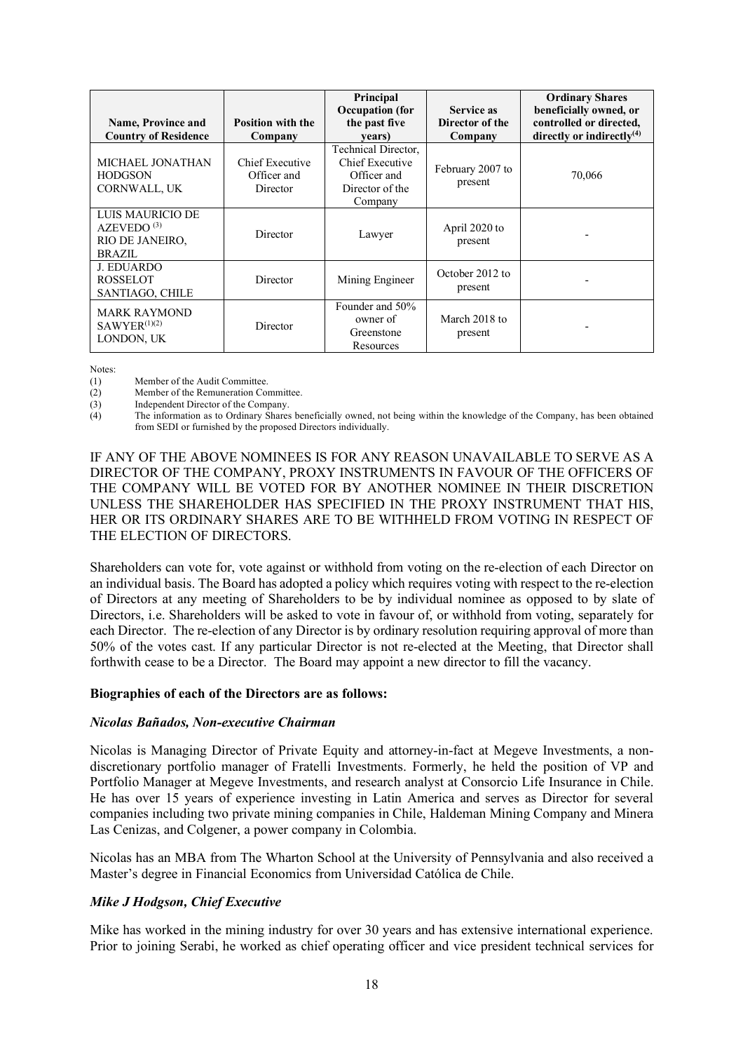| <b>Name, Province and</b><br><b>Country of Residence</b>                       | <b>Position with the</b><br>Company        | Principal<br><b>Occupation</b> (for<br>the past five<br>years)                      | <b>Service as</b><br>Director of the<br>Company | <b>Ordinary Shares</b><br>beneficially owned, or<br>controlled or directed.<br>directly or indirectly $(4)$ |
|--------------------------------------------------------------------------------|--------------------------------------------|-------------------------------------------------------------------------------------|-------------------------------------------------|-------------------------------------------------------------------------------------------------------------|
| MICHAEL JONATHAN<br><b>HODGSON</b><br>CORNWALL, UK                             | Chief Executive<br>Officer and<br>Director | Technical Director,<br>Chief Executive<br>Officer and<br>Director of the<br>Company | February 2007 to<br>present                     | 70,066                                                                                                      |
| LUIS MAURICIO DE<br>AZEVEDO <sup>(3)</sup><br>RIO DE JANEIRO,<br><b>BRAZIL</b> | Director                                   | Lawyer                                                                              | April 2020 to<br>present                        |                                                                                                             |
| <b>J. EDUARDO</b><br><b>ROSSELOT</b><br>SANTIAGO, CHILE                        | Director                                   | Mining Engineer                                                                     | October 2012 to<br>present                      |                                                                                                             |
| <b>MARK RAYMOND</b><br>SAWYER <sup>(1)(2)</sup><br>LONDON, UK                  | Director                                   | Founder and 50%<br>owner of<br>Greenstone<br>Resources                              | March 2018 to<br>present                        |                                                                                                             |

Notes:

- 
- (1) Member of the Audit Committee.<br>
(2) Member of the Remuneration Co
- (2) Member of the Remuneration Committee.<br>
(3) Independent Director of the Company. Independent Director of the Company.
- (4) The information as to Ordinary Shares beneficially owned, not being within the knowledge of the Company, has been obtained from SEDI or furnished by the proposed Directors individually.

IF ANY OF THE ABOVE NOMINEES IS FOR ANY REASON UNAVAILABLE TO SERVE AS A DIRECTOR OF THE COMPANY, PROXY INSTRUMENTS IN FAVOUR OF THE OFFICERS OF THE COMPANY WILL BE VOTED FOR BY ANOTHER NOMINEE IN THEIR DISCRETION UNLESS THE SHAREHOLDER HAS SPECIFIED IN THE PROXY INSTRUMENT THAT HIS, HER OR ITS ORDINARY SHARES ARE TO BE WITHHELD FROM VOTING IN RESPECT OF THE ELECTION OF DIRECTORS.

Shareholders can vote for, vote against or withhold from voting on the re-election of each Director on an individual basis. The Board has adopted a policy which requires voting with respect to the re-election of Directors at any meeting of Shareholders to be by individual nominee as opposed to by slate of Directors, i.e. Shareholders will be asked to vote in favour of, or withhold from voting, separately for each Director. The re-election of any Director is by ordinary resolution requiring approval of more than 50% of the votes cast. If any particular Director is not re-elected at the Meeting, that Director shall forthwith cease to be a Director. The Board may appoint a new director to fill the vacancy.

### **Biographies of each of the Directors are as follows:**

### *Nicolas Bañados, Non-executive Chairman*

Nicolas is Managing Director of Private Equity and attorney-in-fact at Megeve Investments, a nondiscretionary portfolio manager of Fratelli Investments. Formerly, he held the position of VP and Portfolio Manager at Megeve Investments, and research analyst at Consorcio Life Insurance in Chile. He has over 15 years of experience investing in Latin America and serves as Director for several companies including two private mining companies in Chile, Haldeman Mining Company and Minera Las Cenizas, and Colgener, a power company in Colombia.

Nicolas has an MBA from The Wharton School at the University of Pennsylvania and also received a Master's degree in Financial Economics from Universidad Católica de Chile.

# *Mike J Hodgson, Chief Executive*

Mike has worked in the mining industry for over 30 years and has extensive international experience. Prior to joining Serabi, he worked as chief operating officer and vice president technical services for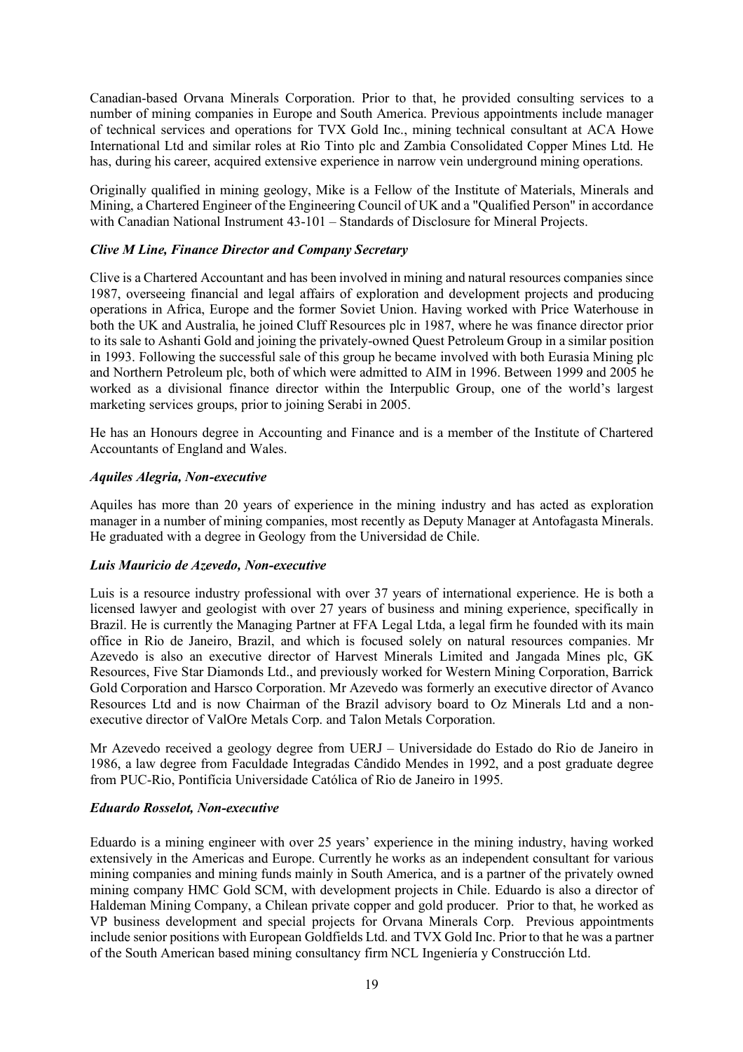Canadian-based Orvana Minerals Corporation. Prior to that, he provided consulting services to a number of mining companies in Europe and South America. Previous appointments include manager of technical services and operations for TVX Gold Inc., mining technical consultant at ACA Howe International Ltd and similar roles at Rio Tinto plc and Zambia Consolidated Copper Mines Ltd. He has, during his career, acquired extensive experience in narrow vein underground mining operations.

Originally qualified in mining geology, Mike is a Fellow of the Institute of Materials, Minerals and Mining, a Chartered Engineer of the Engineering Council of UK and a "Qualified Person" in accordance with Canadian National Instrument 43-101 – Standards of Disclosure for Mineral Projects.

# *Clive M Line, Finance Director and Company Secretary*

Clive is a Chartered Accountant and has been involved in mining and natural resources companies since 1987, overseeing financial and legal affairs of exploration and development projects and producing operations in Africa, Europe and the former Soviet Union. Having worked with Price Waterhouse in both the UK and Australia, he joined Cluff Resources plc in 1987, where he was finance director prior to its sale to Ashanti Gold and joining the privately-owned Quest Petroleum Group in a similar position in 1993. Following the successful sale of this group he became involved with both Eurasia Mining plc and Northern Petroleum plc, both of which were admitted to AIM in 1996. Between 1999 and 2005 he worked as a divisional finance director within the Interpublic Group, one of the world's largest marketing services groups, prior to joining Serabi in 2005.

He has an Honours degree in Accounting and Finance and is a member of the Institute of Chartered Accountants of England and Wales.

### *Aquiles Alegria, Non-executive*

Aquiles has more than 20 years of experience in the mining industry and has acted as exploration manager in a number of mining companies, most recently as Deputy Manager at Antofagasta Minerals. He graduated with a degree in Geology from the Universidad de Chile.

### *Luis Mauricio de Azevedo, Non-executive*

Luis is a resource industry professional with over 37 years of international experience. He is both a licensed lawyer and geologist with over 27 years of business and mining experience, specifically in Brazil. He is currently the Managing Partner at FFA Legal Ltda, a legal firm he founded with its main office in Rio de Janeiro, Brazil, and which is focused solely on natural resources companies. Mr Azevedo is also an executive director of Harvest Minerals Limited and Jangada Mines plc, GK Resources, Five Star Diamonds Ltd., and previously worked for Western Mining Corporation, Barrick Gold Corporation and Harsco Corporation. Mr Azevedo was formerly an executive director of Avanco Resources Ltd and is now Chairman of the Brazil advisory board to Oz Minerals Ltd and a nonexecutive director of ValOre Metals Corp. and Talon Metals Corporation.

Mr Azevedo received a geology degree from UERJ – Universidade do Estado do Rio de Janeiro in 1986, a law degree from Faculdade Integradas Cândido Mendes in 1992, and a post graduate degree from PUC-Rio, Pontifícia Universidade Católica of Rio de Janeiro in 1995.

### *Eduardo Rosselot, Non-executive*

Eduardo is a mining engineer with over 25 years' experience in the mining industry, having worked extensively in the Americas and Europe. Currently he works as an independent consultant for various mining companies and mining funds mainly in South America, and is a partner of the privately owned mining company HMC Gold SCM, with development projects in Chile. Eduardo is also a director of Haldeman Mining Company, a Chilean private copper and gold producer. Prior to that, he worked as VP business development and special projects for Orvana Minerals Corp. Previous appointments include senior positions with European Goldfields Ltd. and TVX Gold Inc. Prior to that he was a partner of the South American based mining consultancy firm NCL Ingeniería y Construcción Ltd.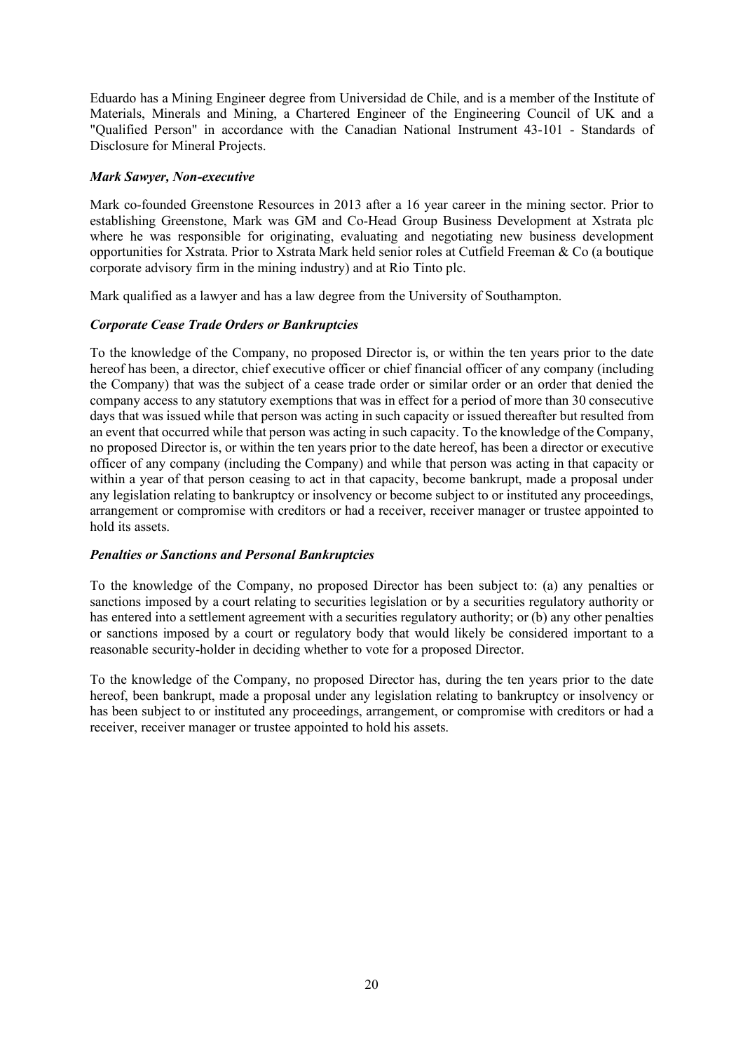Eduardo has a Mining Engineer degree from Universidad de Chile, and is a member of the Institute of Materials, Minerals and Mining, a Chartered Engineer of the Engineering Council of UK and a "Qualified Person" in accordance with the Canadian National Instrument 43-101 - Standards of Disclosure for Mineral Projects.

# *Mark Sawyer, Non-executive*

Mark co-founded Greenstone Resources in 2013 after a 16 year career in the mining sector. Prior to establishing Greenstone, Mark was GM and Co-Head Group Business Development at Xstrata plc where he was responsible for originating, evaluating and negotiating new business development opportunities for Xstrata. Prior to Xstrata Mark held senior roles at Cutfield Freeman & Co (a boutique corporate advisory firm in the mining industry) and at Rio Tinto plc.

Mark qualified as a lawyer and has a law degree from the University of Southampton.

# *Corporate Cease Trade Orders or Bankruptcies*

To the knowledge of the Company, no proposed Director is, or within the ten years prior to the date hereof has been, a director, chief executive officer or chief financial officer of any company (including the Company) that was the subject of a cease trade order or similar order or an order that denied the company access to any statutory exemptions that was in effect for a period of more than 30 consecutive days that was issued while that person was acting in such capacity or issued thereafter but resulted from an event that occurred while that person was acting in such capacity. To the knowledge of the Company, no proposed Director is, or within the ten years prior to the date hereof, has been a director or executive officer of any company (including the Company) and while that person was acting in that capacity or within a year of that person ceasing to act in that capacity, become bankrupt, made a proposal under any legislation relating to bankruptcy or insolvency or become subject to or instituted any proceedings, arrangement or compromise with creditors or had a receiver, receiver manager or trustee appointed to hold its assets.

### *Penalties or Sanctions and Personal Bankruptcies*

To the knowledge of the Company, no proposed Director has been subject to: (a) any penalties or sanctions imposed by a court relating to securities legislation or by a securities regulatory authority or has entered into a settlement agreement with a securities regulatory authority; or (b) any other penalties or sanctions imposed by a court or regulatory body that would likely be considered important to a reasonable security-holder in deciding whether to vote for a proposed Director.

To the knowledge of the Company, no proposed Director has, during the ten years prior to the date hereof, been bankrupt, made a proposal under any legislation relating to bankruptcy or insolvency or has been subject to or instituted any proceedings, arrangement, or compromise with creditors or had a receiver, receiver manager or trustee appointed to hold his assets.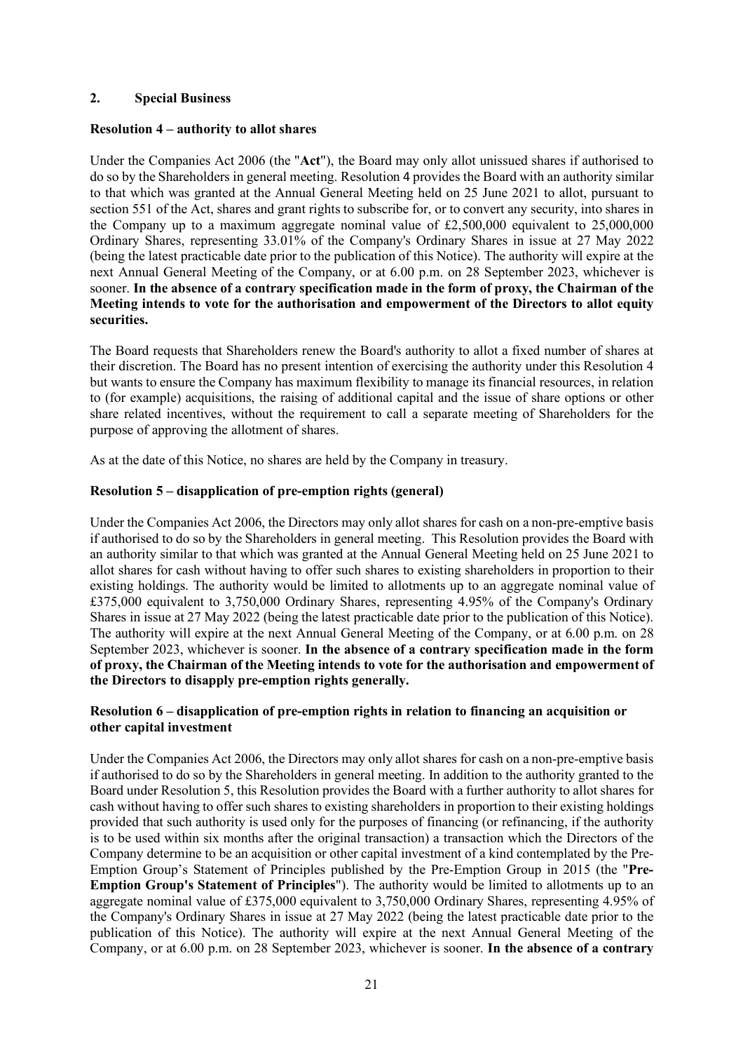# **2. Special Business**

# **Resolution 4 – authority to allot shares**

Under the Companies Act 2006 (the "**Act**"), the Board may only allot unissued shares if authorised to do so by the Shareholders in general meeting. Resolution 4 provides the Board with an authority similar to that which was granted at the Annual General Meeting held on 25 June 2021 to allot, pursuant to section 551 of the Act, shares and grant rights to subscribe for, or to convert any security, into shares in the Company up to a maximum aggregate nominal value of  $\text{\pounds}2,500,000$  equivalent to 25,000,000 Ordinary Shares, representing 33.01% of the Company's Ordinary Shares in issue at 27 May 2022 (being the latest practicable date prior to the publication of this Notice). The authority will expire at the next Annual General Meeting of the Company, or at 6.00 p.m. on 28 September 2023, whichever is sooner. **In the absence of a contrary specification made in the form of proxy, the Chairman of the Meeting intends to vote for the authorisation and empowerment of the Directors to allot equity securities.** 

The Board requests that Shareholders renew the Board's authority to allot a fixed number of shares at their discretion. The Board has no present intention of exercising the authority under this Resolution 4 but wants to ensure the Company has maximum flexibility to manage its financial resources, in relation to (for example) acquisitions, the raising of additional capital and the issue of share options or other share related incentives, without the requirement to call a separate meeting of Shareholders for the purpose of approving the allotment of shares.

As at the date of this Notice, no shares are held by the Company in treasury.

# **Resolution 5 – disapplication of pre-emption rights (general)**

Under the Companies Act 2006, the Directors may only allot shares for cash on a non-pre-emptive basis if authorised to do so by the Shareholders in general meeting. This Resolution provides the Board with an authority similar to that which was granted at the Annual General Meeting held on 25 June 2021 to allot shares for cash without having to offer such shares to existing shareholders in proportion to their existing holdings. The authority would be limited to allotments up to an aggregate nominal value of £375,000 equivalent to 3,750,000 Ordinary Shares, representing 4.95% of the Company's Ordinary Shares in issue at 27 May 2022 (being the latest practicable date prior to the publication of this Notice). The authority will expire at the next Annual General Meeting of the Company, or at 6.00 p.m. on 28 September 2023, whichever is sooner. **In the absence of a contrary specification made in the form of proxy, the Chairman of the Meeting intends to vote for the authorisation and empowerment of the Directors to disapply pre-emption rights generally.** 

# **Resolution 6 – disapplication of pre-emption rights in relation to financing an acquisition or other capital investment**

Under the Companies Act 2006, the Directors may only allot shares for cash on a non-pre-emptive basis if authorised to do so by the Shareholders in general meeting. In addition to the authority granted to the Board under Resolution 5, this Resolution provides the Board with a further authority to allot shares for cash without having to offer such shares to existing shareholders in proportion to their existing holdings provided that such authority is used only for the purposes of financing (or refinancing, if the authority is to be used within six months after the original transaction) a transaction which the Directors of the Company determine to be an acquisition or other capital investment of a kind contemplated by the Pre-Emption Group's Statement of Principles published by the Pre-Emption Group in 2015 (the "**Pre-Emption Group's Statement of Principles**"). The authority would be limited to allotments up to an aggregate nominal value of £375,000 equivalent to 3,750,000 Ordinary Shares, representing 4.95% of the Company's Ordinary Shares in issue at 27 May 2022 (being the latest practicable date prior to the publication of this Notice). The authority will expire at the next Annual General Meeting of the Company, or at 6.00 p.m. on 28 September 2023, whichever is sooner. **In the absence of a contrary**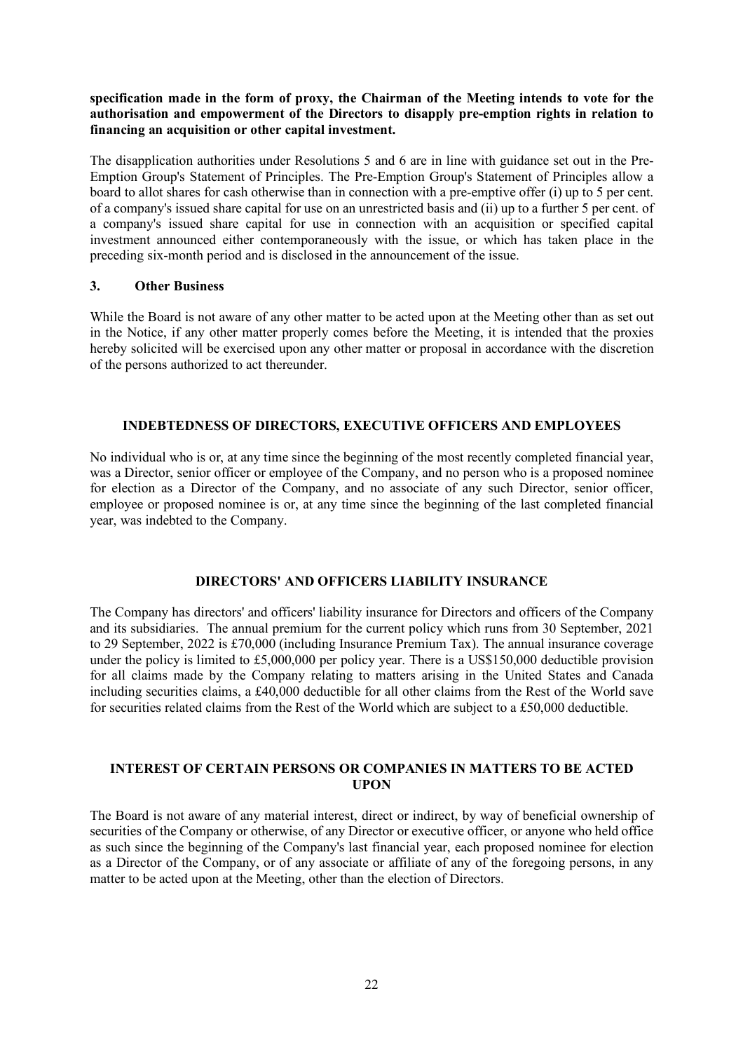# **specification made in the form of proxy, the Chairman of the Meeting intends to vote for the authorisation and empowerment of the Directors to disapply pre-emption rights in relation to financing an acquisition or other capital investment.**

The disapplication authorities under Resolutions 5 and 6 are in line with guidance set out in the Pre-Emption Group's Statement of Principles. The Pre-Emption Group's Statement of Principles allow a board to allot shares for cash otherwise than in connection with a pre-emptive offer (i) up to 5 per cent. of a company's issued share capital for use on an unrestricted basis and (ii) up to a further 5 per cent. of a company's issued share capital for use in connection with an acquisition or specified capital investment announced either contemporaneously with the issue, or which has taken place in the preceding six-month period and is disclosed in the announcement of the issue.

# **3. Other Business**

While the Board is not aware of any other matter to be acted upon at the Meeting other than as set out in the Notice, if any other matter properly comes before the Meeting, it is intended that the proxies hereby solicited will be exercised upon any other matter or proposal in accordance with the discretion of the persons authorized to act thereunder.

# **INDEBTEDNESS OF DIRECTORS, EXECUTIVE OFFICERS AND EMPLOYEES**

No individual who is or, at any time since the beginning of the most recently completed financial year, was a Director, senior officer or employee of the Company, and no person who is a proposed nominee for election as a Director of the Company, and no associate of any such Director, senior officer, employee or proposed nominee is or, at any time since the beginning of the last completed financial year, was indebted to the Company.

# **DIRECTORS' AND OFFICERS LIABILITY INSURANCE**

The Company has directors' and officers' liability insurance for Directors and officers of the Company and its subsidiaries. The annual premium for the current policy which runs from 30 September, 2021 to 29 September, 2022 is £70,000 (including Insurance Premium Tax). The annual insurance coverage under the policy is limited to £5,000,000 per policy year. There is a US\$150,000 deductible provision for all claims made by the Company relating to matters arising in the United States and Canada including securities claims, a £40,000 deductible for all other claims from the Rest of the World save for securities related claims from the Rest of the World which are subject to a £50,000 deductible.

### **INTEREST OF CERTAIN PERSONS OR COMPANIES IN MATTERS TO BE ACTED UPON**

The Board is not aware of any material interest, direct or indirect, by way of beneficial ownership of securities of the Company or otherwise, of any Director or executive officer, or anyone who held office as such since the beginning of the Company's last financial year, each proposed nominee for election as a Director of the Company, or of any associate or affiliate of any of the foregoing persons, in any matter to be acted upon at the Meeting, other than the election of Directors.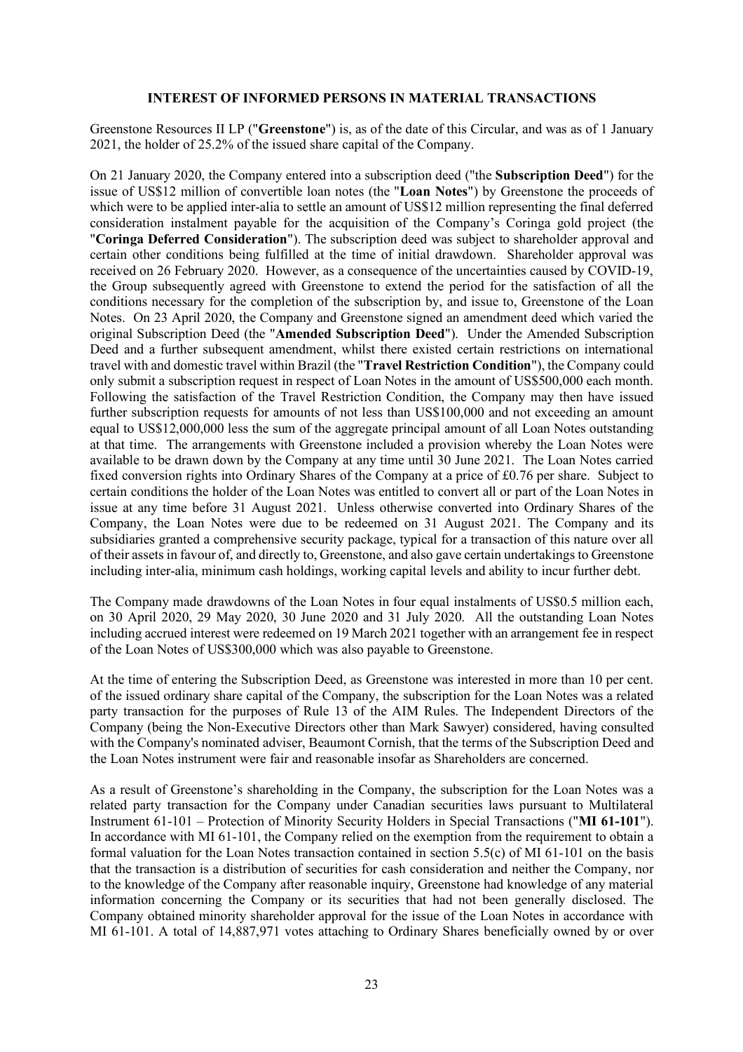#### **INTEREST OF INFORMED PERSONS IN MATERIAL TRANSACTIONS**

Greenstone Resources II LP ("**Greenstone**") is, as of the date of this Circular, and was as of 1 January 2021, the holder of 25.2% of the issued share capital of the Company.

On 21 January 2020, the Company entered into a subscription deed ("the **Subscription Deed**") for the issue of US\$12 million of convertible loan notes (the "**Loan Notes**") by Greenstone the proceeds of which were to be applied inter-alia to settle an amount of US\$12 million representing the final deferred consideration instalment payable for the acquisition of the Company's Coringa gold project (the "**Coringa Deferred Consideration**"). The subscription deed was subject to shareholder approval and certain other conditions being fulfilled at the time of initial drawdown. Shareholder approval was received on 26 February 2020. However, as a consequence of the uncertainties caused by COVID-19, the Group subsequently agreed with Greenstone to extend the period for the satisfaction of all the conditions necessary for the completion of the subscription by, and issue to, Greenstone of the Loan Notes. On 23 April 2020, the Company and Greenstone signed an amendment deed which varied the original Subscription Deed (the "**Amended Subscription Deed**"). Under the Amended Subscription Deed and a further subsequent amendment, whilst there existed certain restrictions on international travel with and domestic travel within Brazil (the "**Travel Restriction Condition**"), the Company could only submit a subscription request in respect of Loan Notes in the amount of US\$500,000 each month. Following the satisfaction of the Travel Restriction Condition, the Company may then have issued further subscription requests for amounts of not less than US\$100,000 and not exceeding an amount equal to US\$12,000,000 less the sum of the aggregate principal amount of all Loan Notes outstanding at that time. The arrangements with Greenstone included a provision whereby the Loan Notes were available to be drawn down by the Company at any time until 30 June 2021. The Loan Notes carried fixed conversion rights into Ordinary Shares of the Company at a price of £0.76 per share. Subject to certain conditions the holder of the Loan Notes was entitled to convert all or part of the Loan Notes in issue at any time before 31 August 2021. Unless otherwise converted into Ordinary Shares of the Company, the Loan Notes were due to be redeemed on 31 August 2021. The Company and its subsidiaries granted a comprehensive security package, typical for a transaction of this nature over all of their assets in favour of, and directly to, Greenstone, and also gave certain undertakings to Greenstone including inter-alia, minimum cash holdings, working capital levels and ability to incur further debt.

The Company made drawdowns of the Loan Notes in four equal instalments of US\$0.5 million each, on 30 April 2020, 29 May 2020, 30 June 2020 and 31 July 2020. All the outstanding Loan Notes including accrued interest were redeemed on 19 March 2021 together with an arrangement fee in respect of the Loan Notes of US\$300,000 which was also payable to Greenstone.

At the time of entering the Subscription Deed, as Greenstone was interested in more than 10 per cent. of the issued ordinary share capital of the Company, the subscription for the Loan Notes was a related party transaction for the purposes of Rule 13 of the AIM Rules. The Independent Directors of the Company (being the Non-Executive Directors other than Mark Sawyer) considered, having consulted with the Company's nominated adviser, Beaumont Cornish, that the terms of the Subscription Deed and the Loan Notes instrument were fair and reasonable insofar as Shareholders are concerned.

As a result of Greenstone's shareholding in the Company, the subscription for the Loan Notes was a related party transaction for the Company under Canadian securities laws pursuant to Multilateral Instrument 61-101 – Protection of Minority Security Holders in Special Transactions ("**MI 61-101**"). In accordance with MI 61-101, the Company relied on the exemption from the requirement to obtain a formal valuation for the Loan Notes transaction contained in section 5.5(c) of MI 61-101 on the basis that the transaction is a distribution of securities for cash consideration and neither the Company, nor to the knowledge of the Company after reasonable inquiry, Greenstone had knowledge of any material information concerning the Company or its securities that had not been generally disclosed. The Company obtained minority shareholder approval for the issue of the Loan Notes in accordance with MI 61-101. A total of 14,887,971 votes attaching to Ordinary Shares beneficially owned by or over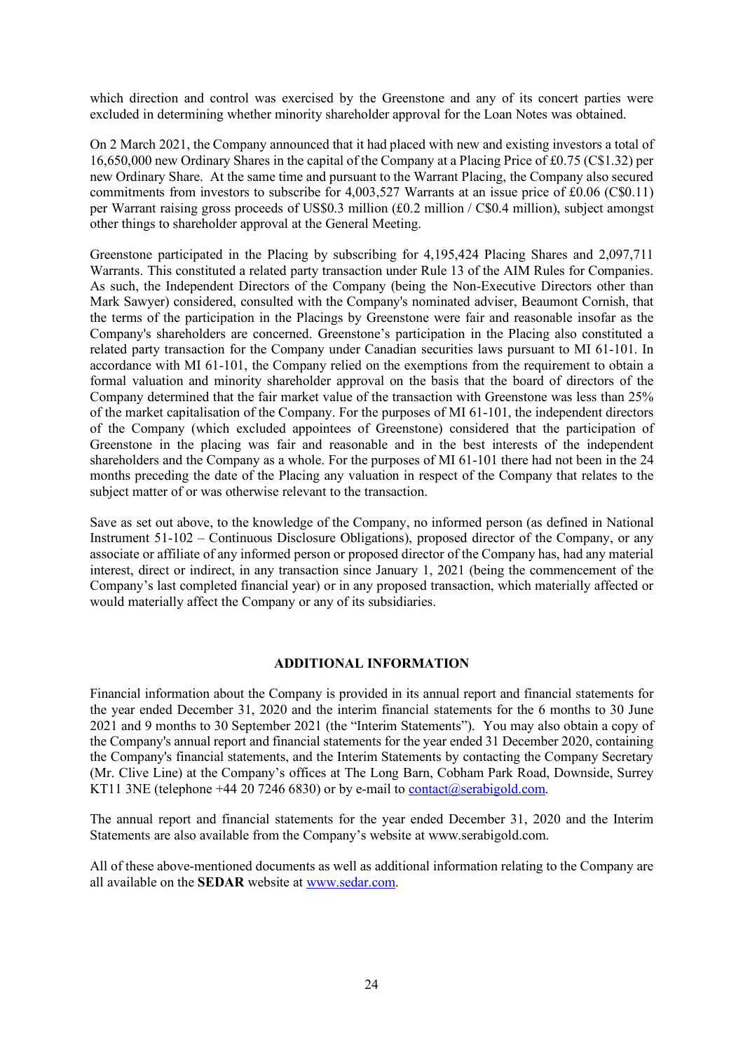which direction and control was exercised by the Greenstone and any of its concert parties were excluded in determining whether minority shareholder approval for the Loan Notes was obtained.

On 2 March 2021, the Company announced that it had placed with new and existing investors a total of 16,650,000 new Ordinary Shares in the capital of the Company at a Placing Price of £0.75 (C\$1.32) per new Ordinary Share. At the same time and pursuant to the Warrant Placing, the Company also secured commitments from investors to subscribe for 4,003,527 Warrants at an issue price of £0.06 (C\$0.11) per Warrant raising gross proceeds of US\$0.3 million (£0.2 million / C\$0.4 million), subject amongst other things to shareholder approval at the General Meeting.

Greenstone participated in the Placing by subscribing for 4,195,424 Placing Shares and 2,097,711 Warrants. This constituted a related party transaction under Rule 13 of the AIM Rules for Companies. As such, the Independent Directors of the Company (being the Non-Executive Directors other than Mark Sawyer) considered, consulted with the Company's nominated adviser, Beaumont Cornish, that the terms of the participation in the Placings by Greenstone were fair and reasonable insofar as the Company's shareholders are concerned. Greenstone's participation in the Placing also constituted a related party transaction for the Company under Canadian securities laws pursuant to MI 61-101. In accordance with MI 61-101, the Company relied on the exemptions from the requirement to obtain a formal valuation and minority shareholder approval on the basis that the board of directors of the Company determined that the fair market value of the transaction with Greenstone was less than 25% of the market capitalisation of the Company. For the purposes of MI 61-101, the independent directors of the Company (which excluded appointees of Greenstone) considered that the participation of Greenstone in the placing was fair and reasonable and in the best interests of the independent shareholders and the Company as a whole. For the purposes of MI 61-101 there had not been in the 24 months preceding the date of the Placing any valuation in respect of the Company that relates to the subject matter of or was otherwise relevant to the transaction.

Save as set out above, to the knowledge of the Company, no informed person (as defined in National Instrument 51-102 – Continuous Disclosure Obligations), proposed director of the Company, or any associate or affiliate of any informed person or proposed director of the Company has, had any material interest, direct or indirect, in any transaction since January 1, 2021 (being the commencement of the Company's last completed financial year) or in any proposed transaction, which materially affected or would materially affect the Company or any of its subsidiaries.

#### **ADDITIONAL INFORMATION**

Financial information about the Company is provided in its annual report and financial statements for the year ended December 31, 2020 and the interim financial statements for the 6 months to 30 June 2021 and 9 months to 30 September 2021 (the "Interim Statements"). You may also obtain a copy of the Company's annual report and financial statements for the year ended 31 December 2020, containing the Company's financial statements, and the Interim Statements by contacting the Company Secretary (Mr. Clive Line) at the Company's offices at The Long Barn, Cobham Park Road, Downside, Surrey KT11 3NE (telephone  $+44$  20 7246 6830) or by e-mail to contact@serabigold.com.

The annual report and financial statements for the year ended December 31, 2020 and the Interim Statements are also available from the Company's website at www.serabigold.com.

All of these above-mentioned documents as well as additional information relating to the Company are all available on the **SEDAR** website at www.sedar.com.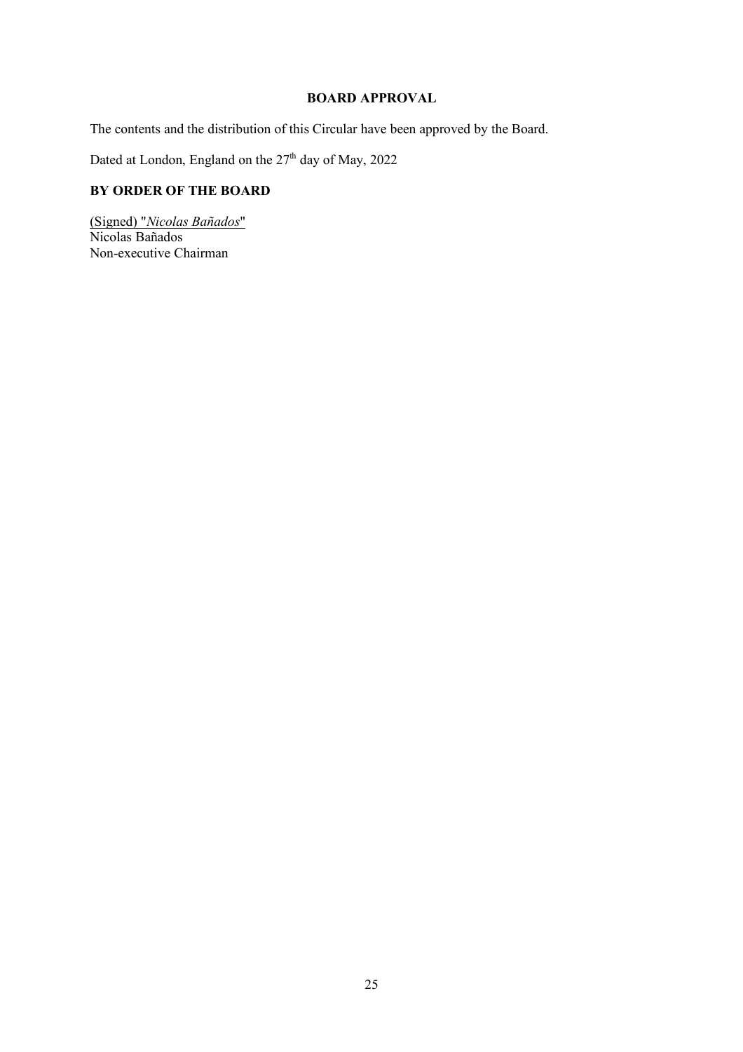# **BOARD APPROVAL**

The contents and the distribution of this Circular have been approved by the Board.

Dated at London, England on the 27<sup>th</sup> day of May, 2022

# **BY ORDER OF THE BOARD**

(Signed) "*Nicolas Bañados*" Nicolas Bañados Non-executive Chairman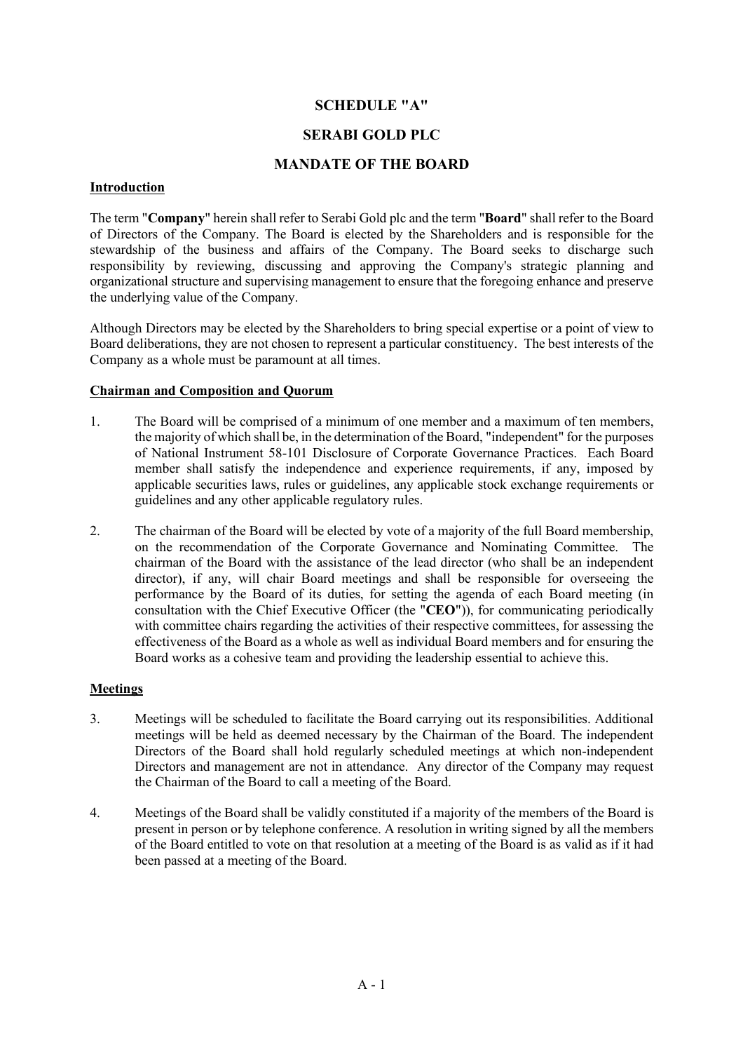# **SCHEDULE "A"**

# **SERABI GOLD PLC**

# **MANDATE OF THE BOARD**

#### **Introduction**

The term "**Company**" herein shall refer to Serabi Gold plc and the term "**Board**" shall refer to the Board of Directors of the Company. The Board is elected by the Shareholders and is responsible for the stewardship of the business and affairs of the Company. The Board seeks to discharge such responsibility by reviewing, discussing and approving the Company's strategic planning and organizational structure and supervising management to ensure that the foregoing enhance and preserve the underlying value of the Company.

Although Directors may be elected by the Shareholders to bring special expertise or a point of view to Board deliberations, they are not chosen to represent a particular constituency. The best interests of the Company as a whole must be paramount at all times.

### **Chairman and Composition and Quorum**

- 1. The Board will be comprised of a minimum of one member and a maximum of ten members, the majority of which shall be, in the determination of the Board, "independent" for the purposes of National Instrument 58-101 Disclosure of Corporate Governance Practices. Each Board member shall satisfy the independence and experience requirements, if any, imposed by applicable securities laws, rules or guidelines, any applicable stock exchange requirements or guidelines and any other applicable regulatory rules.
- 2. The chairman of the Board will be elected by vote of a majority of the full Board membership, on the recommendation of the Corporate Governance and Nominating Committee. The chairman of the Board with the assistance of the lead director (who shall be an independent director), if any, will chair Board meetings and shall be responsible for overseeing the performance by the Board of its duties, for setting the agenda of each Board meeting (in consultation with the Chief Executive Officer (the "**CEO**")), for communicating periodically with committee chairs regarding the activities of their respective committees, for assessing the effectiveness of the Board as a whole as well as individual Board members and for ensuring the Board works as a cohesive team and providing the leadership essential to achieve this.

### **Meetings**

- 3. Meetings will be scheduled to facilitate the Board carrying out its responsibilities. Additional meetings will be held as deemed necessary by the Chairman of the Board. The independent Directors of the Board shall hold regularly scheduled meetings at which non-independent Directors and management are not in attendance. Any director of the Company may request the Chairman of the Board to call a meeting of the Board.
- 4. Meetings of the Board shall be validly constituted if a majority of the members of the Board is present in person or by telephone conference. A resolution in writing signed by all the members of the Board entitled to vote on that resolution at a meeting of the Board is as valid as if it had been passed at a meeting of the Board.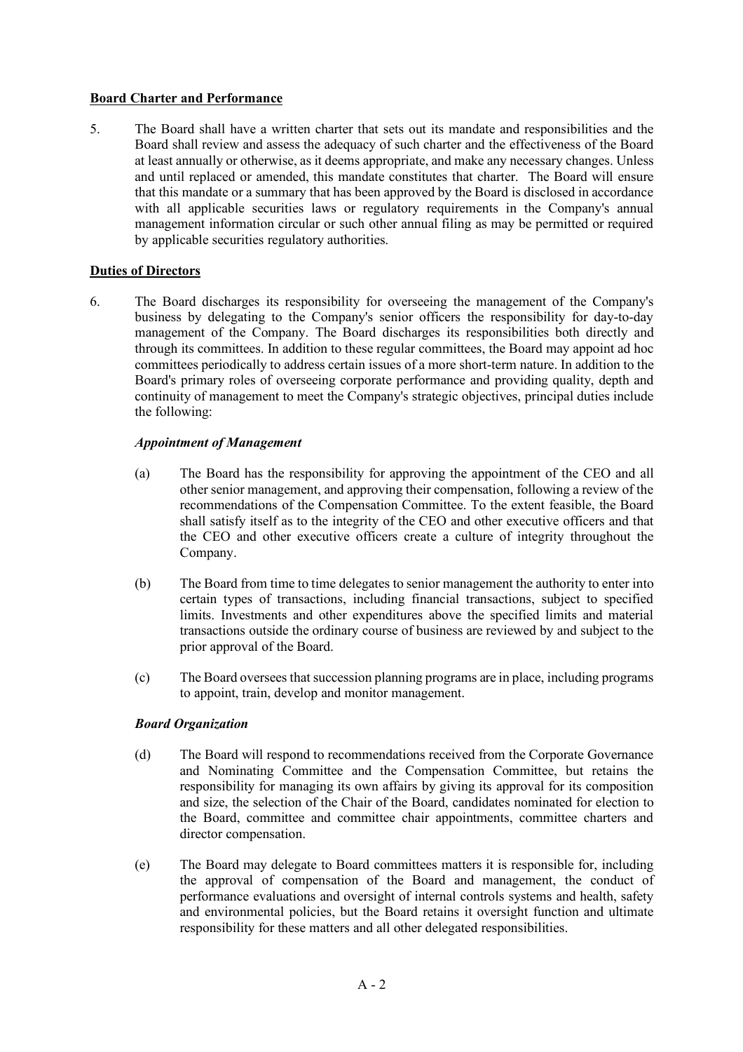# **Board Charter and Performance**

5. The Board shall have a written charter that sets out its mandate and responsibilities and the Board shall review and assess the adequacy of such charter and the effectiveness of the Board at least annually or otherwise, as it deems appropriate, and make any necessary changes. Unless and until replaced or amended, this mandate constitutes that charter. The Board will ensure that this mandate or a summary that has been approved by the Board is disclosed in accordance with all applicable securities laws or regulatory requirements in the Company's annual management information circular or such other annual filing as may be permitted or required by applicable securities regulatory authorities.

# **Duties of Directors**

6. The Board discharges its responsibility for overseeing the management of the Company's business by delegating to the Company's senior officers the responsibility for day-to-day management of the Company. The Board discharges its responsibilities both directly and through its committees. In addition to these regular committees, the Board may appoint ad hoc committees periodically to address certain issues of a more short-term nature. In addition to the Board's primary roles of overseeing corporate performance and providing quality, depth and continuity of management to meet the Company's strategic objectives, principal duties include the following:

# *Appointment of Management*

- (a) The Board has the responsibility for approving the appointment of the CEO and all other senior management, and approving their compensation, following a review of the recommendations of the Compensation Committee. To the extent feasible, the Board shall satisfy itself as to the integrity of the CEO and other executive officers and that the CEO and other executive officers create a culture of integrity throughout the Company.
- (b) The Board from time to time delegates to senior management the authority to enter into certain types of transactions, including financial transactions, subject to specified limits. Investments and other expenditures above the specified limits and material transactions outside the ordinary course of business are reviewed by and subject to the prior approval of the Board.
- (c) The Board oversees that succession planning programs are in place, including programs to appoint, train, develop and monitor management.

### *Board Organization*

- (d) The Board will respond to recommendations received from the Corporate Governance and Nominating Committee and the Compensation Committee, but retains the responsibility for managing its own affairs by giving its approval for its composition and size, the selection of the Chair of the Board, candidates nominated for election to the Board, committee and committee chair appointments, committee charters and director compensation.
- (e) The Board may delegate to Board committees matters it is responsible for, including the approval of compensation of the Board and management, the conduct of performance evaluations and oversight of internal controls systems and health, safety and environmental policies, but the Board retains it oversight function and ultimate responsibility for these matters and all other delegated responsibilities.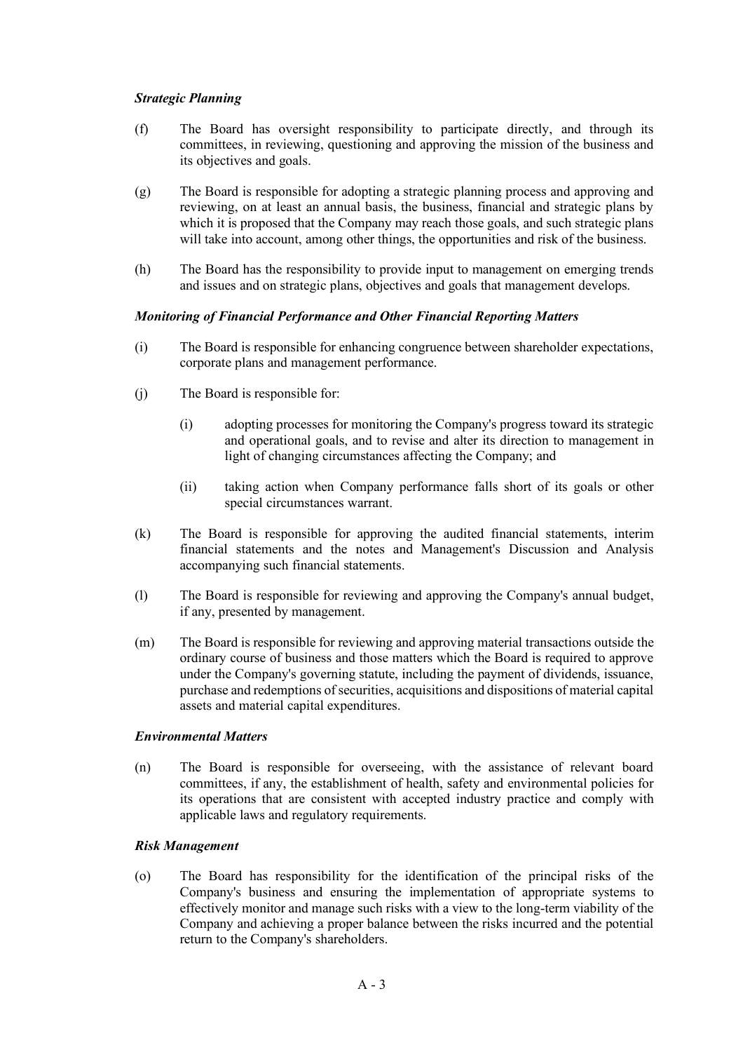# *Strategic Planning*

- (f) The Board has oversight responsibility to participate directly, and through its committees, in reviewing, questioning and approving the mission of the business and its objectives and goals.
- (g) The Board is responsible for adopting a strategic planning process and approving and reviewing, on at least an annual basis, the business, financial and strategic plans by which it is proposed that the Company may reach those goals, and such strategic plans will take into account, among other things, the opportunities and risk of the business.
- (h) The Board has the responsibility to provide input to management on emerging trends and issues and on strategic plans, objectives and goals that management develops.

# *Monitoring of Financial Performance and Other Financial Reporting Matters*

- (i) The Board is responsible for enhancing congruence between shareholder expectations, corporate plans and management performance.
- (j) The Board is responsible for:
	- (i) adopting processes for monitoring the Company's progress toward its strategic and operational goals, and to revise and alter its direction to management in light of changing circumstances affecting the Company; and
	- (ii) taking action when Company performance falls short of its goals or other special circumstances warrant.
- (k) The Board is responsible for approving the audited financial statements, interim financial statements and the notes and Management's Discussion and Analysis accompanying such financial statements.
- (l) The Board is responsible for reviewing and approving the Company's annual budget, if any, presented by management.
- (m) The Board is responsible for reviewing and approving material transactions outside the ordinary course of business and those matters which the Board is required to approve under the Company's governing statute, including the payment of dividends, issuance, purchase and redemptions of securities, acquisitions and dispositions of material capital assets and material capital expenditures.

# *Environmental Matters*

(n) The Board is responsible for overseeing, with the assistance of relevant board committees, if any, the establishment of health, safety and environmental policies for its operations that are consistent with accepted industry practice and comply with applicable laws and regulatory requirements.

### *Risk Management*

(o) The Board has responsibility for the identification of the principal risks of the Company's business and ensuring the implementation of appropriate systems to effectively monitor and manage such risks with a view to the long-term viability of the Company and achieving a proper balance between the risks incurred and the potential return to the Company's shareholders.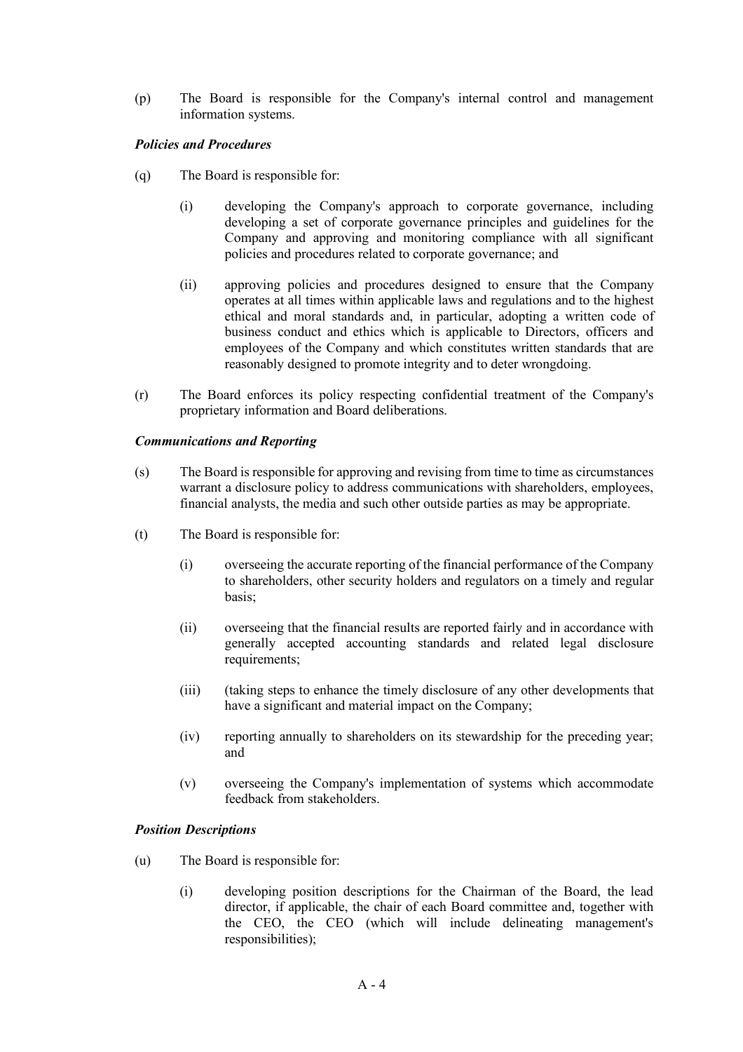(p) The Board is responsible for the Company's internal control and management information systems.

# *Policies and Procedures*

- (q) The Board is responsible for:
	- (i) developing the Company's approach to corporate governance, including developing a set of corporate governance principles and guidelines for the Company and approving and monitoring compliance with all significant policies and procedures related to corporate governance; and
	- (ii) approving policies and procedures designed to ensure that the Company operates at all times within applicable laws and regulations and to the highest ethical and moral standards and, in particular, adopting a written code of business conduct and ethics which is applicable to Directors, officers and employees of the Company and which constitutes written standards that are reasonably designed to promote integrity and to deter wrongdoing.
- (r) The Board enforces its policy respecting confidential treatment of the Company's proprietary information and Board deliberations.

### *Communications and Reporting*

- (s) The Board is responsible for approving and revising from time to time as circumstances warrant a disclosure policy to address communications with shareholders, employees, financial analysts, the media and such other outside parties as may be appropriate.
- (t) The Board is responsible for:
	- (i) overseeing the accurate reporting of the financial performance of the Company to shareholders, other security holders and regulators on a timely and regular basis;
	- (ii) overseeing that the financial results are reported fairly and in accordance with generally accepted accounting standards and related legal disclosure requirements;
	- (iii) (taking steps to enhance the timely disclosure of any other developments that have a significant and material impact on the Company;
	- (iv) reporting annually to shareholders on its stewardship for the preceding year; and
	- (v) overseeing the Company's implementation of systems which accommodate feedback from stakeholders.

### *Position Descriptions*

- (u) The Board is responsible for:
	- (i) developing position descriptions for the Chairman of the Board, the lead director, if applicable, the chair of each Board committee and, together with the CEO, the CEO (which will include delineating management's responsibilities);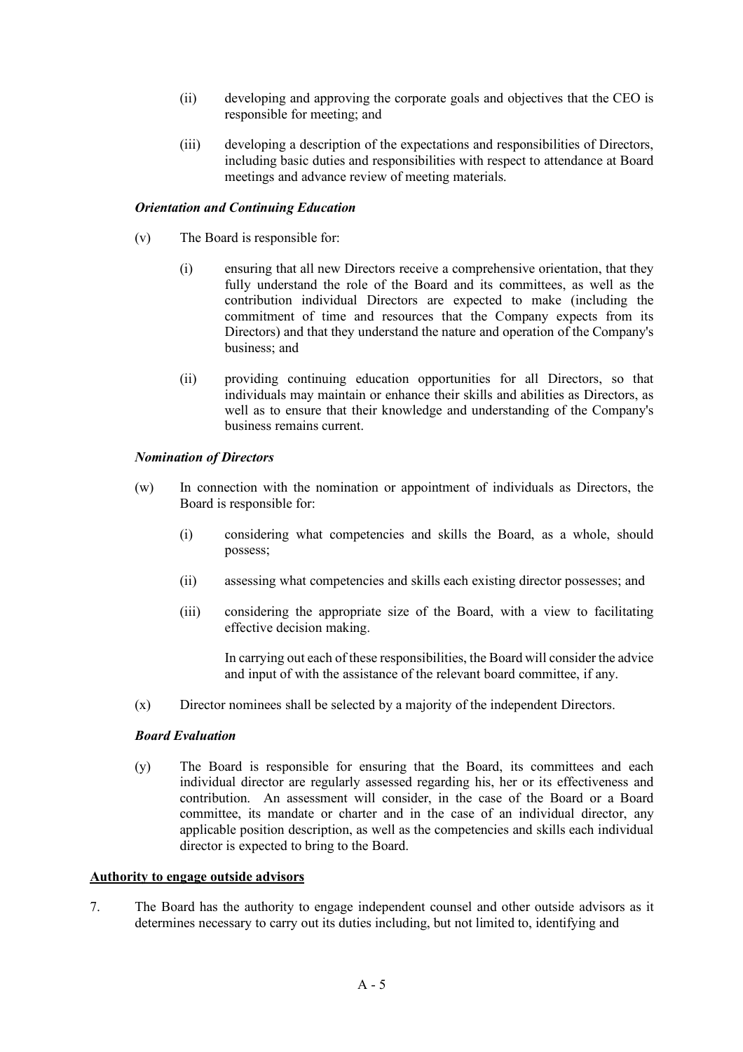- (ii) developing and approving the corporate goals and objectives that the CEO is responsible for meeting; and
- (iii) developing a description of the expectations and responsibilities of Directors, including basic duties and responsibilities with respect to attendance at Board meetings and advance review of meeting materials.

# *Orientation and Continuing Education*

- (v) The Board is responsible for:
	- (i) ensuring that all new Directors receive a comprehensive orientation, that they fully understand the role of the Board and its committees, as well as the contribution individual Directors are expected to make (including the commitment of time and resources that the Company expects from its Directors) and that they understand the nature and operation of the Company's business; and
	- (ii) providing continuing education opportunities for all Directors, so that individuals may maintain or enhance their skills and abilities as Directors, as well as to ensure that their knowledge and understanding of the Company's business remains current.

# *Nomination of Directors*

- (w) In connection with the nomination or appointment of individuals as Directors, the Board is responsible for:
	- (i) considering what competencies and skills the Board, as a whole, should possess;
	- (ii) assessing what competencies and skills each existing director possesses; and
	- (iii) considering the appropriate size of the Board, with a view to facilitating effective decision making.

In carrying out each of these responsibilities, the Board will consider the advice and input of with the assistance of the relevant board committee, if any.

(x) Director nominees shall be selected by a majority of the independent Directors.

# *Board Evaluation*

(y) The Board is responsible for ensuring that the Board, its committees and each individual director are regularly assessed regarding his, her or its effectiveness and contribution. An assessment will consider, in the case of the Board or a Board committee, its mandate or charter and in the case of an individual director, any applicable position description, as well as the competencies and skills each individual director is expected to bring to the Board.

#### **Authority to engage outside advisors**

7. The Board has the authority to engage independent counsel and other outside advisors as it determines necessary to carry out its duties including, but not limited to, identifying and